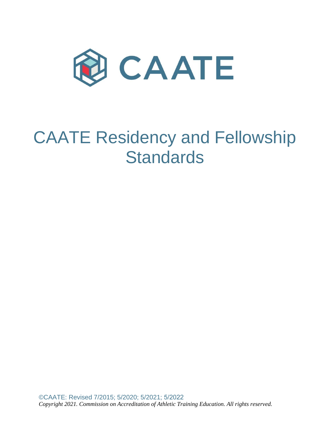

# CAATE Residency and Fellowship **Standards**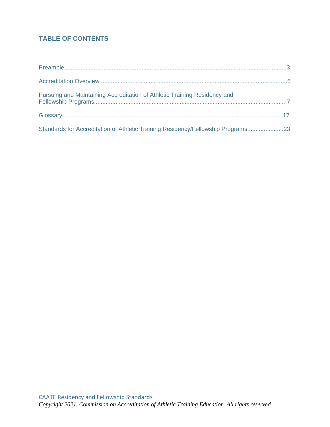# **TABLE OF CONTENTS**

| Standards for Accreditation of Athletic Training Residency/Fellowship Programs23 |  |
|----------------------------------------------------------------------------------|--|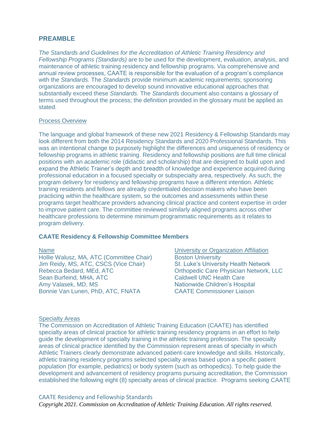# **PREAMBLE**

*The Standards and Guidelines for the Accreditation of Athletic Training Residency and Fellowship Programs (Standards)* are to be used for the development, evaluation, analysis, and maintenance of athletic training residency and fellowship programs. Via comprehensive and annual review processes, CAATE is responsible for the evaluation of a program's compliance with the *Standards.* The *Standards* provide minimum academic requirements; sponsoring organizations are encouraged to develop sound innovative educational approaches that substantially exceed these *Standards.* The *Standards* document also contains a glossary of terms used throughout the process; the definition provided in the glossary must be applied as stated.

#### Process Overview

The language and global framework of these new 2021 Residency & Fellowship Standards may look different from both the 2014 Residency Standards and 2020 Professional Standards. This was an intentional change to purposely highlight the differences and uniqueness of residency or fellowship programs in athletic training. Residency and fellowship positions are full time clinical positions with an academic role (didactic and scholarship) that are designed to build upon and expand the Athletic Trainer's depth and breadth of knowledge and experience acquired during professional education in a focused specialty or subspecialty area, respectively. As such, the program delivery for residency and fellowship programs have a different intention. Athletic training residents and fellows are already credentialed decision makers who have been practicing within the healthcare system, so the outcomes and assessments within these programs target healthcare providers advancing clinical practice and content expertise in order to improve patient care. The committee reviewed similarly aligned programs across other healthcare professions to determine minimum programmatic requirements as it relates to program delivery.

#### **CAATE Residency & Fellowship Committee Members**

Hollie Walusz, MA, ATC (Committee Chair) Boston University<br>
Jim Reidy, MS, ATC, CSCS (Vice Chair) St. Luke's University Health Network Jim Reidy, MS, ATC, CSCS (Vice Chair) Rebecca Bedard, MEd, ATC **Care Corthopedic Care Physician Network, LLC** Sean Burfeind, MHA, ATC Caldwell UNC Health Care Amy Valasek, MD, MS Nationwide Children's Hospital Bonnie Van Lunen, PhD, ATC, FNATA CAATE Commissioner Liaison

Name University or Organization Affiliation

#### Specialty Areas

The Commission on Accreditation of Athletic Training Education (CAATE) has identified specialty areas of clinical practice for athletic training residency programs in an effort to help guide the development of specialty training in the athletic training profession. The specialty areas of clinical practice identified by the Commission represent areas of specialty in which Athletic Trainers clearly demonstrate advanced patient-care knowledge and skills. Historically, athletic training residency programs selected specialty areas based upon a specific patient population (for example, pediatrics) or body system (such as orthopedics). To help guide the development and advancement of residency programs pursuing accreditation, the Commission established the following eight (8) specialty areas of clinical practice. Programs seeking CAATE

#### CAATE Residency and Fellowship Standards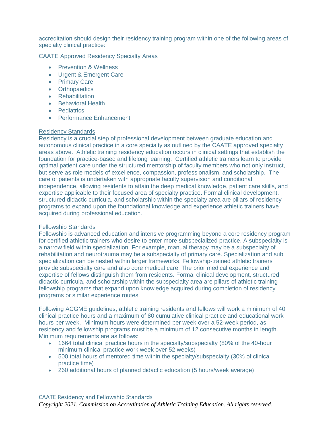accreditation should design their residency training program within one of the following areas of specialty clinical practice:

CAATE Approved Residency Specialty Areas

- Prevention & Wellness
- Urgent & Emergent Care
- Primary Care
- Orthopaedics
- Rehabilitation
- Behavioral Health
- Pediatrics
- Performance Enhancement

# Residency Standards

Residency is a crucial step of professional development between graduate education and autonomous clinical practice in a core specialty as outlined by the CAATE approved specialty areas above. Athletic training residency education occurs in clinical settings that establish the foundation for practice-based and lifelong learning. Certified athletic trainers learn to provide optimal patient care under the structured mentorship of faculty members who not only instruct, but serve as role models of excellence, compassion, professionalism, and scholarship. The care of patients is undertaken with appropriate faculty supervision and conditional independence, allowing residents to attain the deep medical knowledge, patient care skills, and expertise applicable to their focused area of specialty practice. Formal clinical development, structured didactic curricula, and scholarship within the specialty area are pillars of residency programs to expand upon the foundational knowledge and experience athletic trainers have acquired during professional education.

# Fellowship Standards

Fellowship is advanced education and intensive programming beyond a core residency program for certified athletic trainers who desire to enter more subspecialized practice. A subspecialty is a narrow field within specialization. For example, manual therapy may be a subspecialty of rehabilitation and neurotrauma may be a subspecialty of primary care. Specialization and sub specialization can be nested within larger frameworks. Fellowship-trained athletic trainers provide subspecialty care and also core medical care. The prior medical experience and expertise of fellows distinguish them from residents. Formal clinical development, structured didactic curricula, and scholarship within the subspecialty area are pillars of athletic training fellowship programs that expand upon knowledge acquired during completion of residency programs or similar experience routes.

Following ACGME guidelines, athletic training residents and fellows will work a minimum of 40 clinical practice hours and a maximum of 80 cumulative clinical practice and educational work hours per week. Minimum hours were determined per week over a 52-week period, as residency and fellowship programs must be a minimum of 12 consecutive months in length. Minimum requirements are as follows:

- 1664 total clinical practice hours in the specialty/subspecialty (80% of the 40-hour minimum clinical practice work week over 52 weeks)
- 500 total hours of mentored time within the specialty/subspecialty (30% of clinical practice time)
- 260 additional hours of planned didactic education (5 hours/week average)

#### CAATE Residency and Fellowship Standards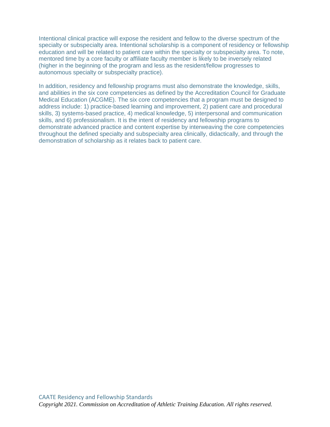Intentional clinical practice will expose the resident and fellow to the diverse spectrum of the specialty or subspecialty area. Intentional scholarship is a component of residency or fellowship education and will be related to patient care within the specialty or subspecialty area. To note, mentored time by a core faculty or affiliate faculty member is likely to be inversely related (higher in the beginning of the program and less as the resident/fellow progresses to autonomous specialty or subspecialty practice).

In addition, residency and fellowship programs must also demonstrate the knowledge, skills, and abilities in the six core competencies as defined by the Accreditation Council for Graduate Medical Education (ACGME). The six core competencies that a program must be designed to address include: 1) practice-based learning and improvement, 2) patient care and procedural skills, 3) systems-based practice, 4) medical knowledge, 5) interpersonal and communication skills, and 6) professionalism. It is the intent of residency and fellowship programs to demonstrate advanced practice and content expertise by interweaving the core competencies throughout the defined specialty and subspecialty area clinically, didactically, and through the demonstration of scholarship as it relates back to patient care.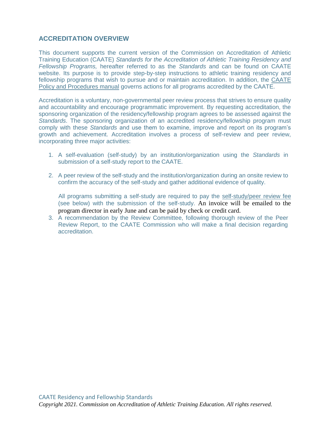# **ACCREDITATION OVERVIEW**

This document supports the current version of the Commission on Accreditation of Athletic Training Education (CAATE) *Standards for the Accreditation of Athletic Training Residency and Fellowship Programs,* hereafter referred to as the *Standards* and can be found on CAATE website. Its purpose is to provide step-by-step instructions to athletic training residency and fellowship programs that wish to pursue and or maintain accreditation. In addition, the [CAATE](https://caate.net/wp-content/uploads/2019/12/CAATE-Policy-and-Procedure-Manual-April-2019.pdf)  [Policy and Procedures manual](https://caate.net/wp-content/uploads/2019/12/CAATE-Policy-and-Procedure-Manual-April-2019.pdf) governs actions for all programs accredited by the CAATE.

Accreditation is a voluntary, non-governmental peer review process that strives to ensure quality and accountability and encourage programmatic improvement. By requesting accreditation, the sponsoring organization of the residency/fellowship program agrees to be assessed against the *Standards*. The sponsoring organization of an accredited residency/fellowship program must comply with these *Standards* and use them to examine, improve and report on its program's growth and achievement. Accreditation involves a process of self-review and peer review, incorporating three major activities:

- 1. A self-evaluation (self-study) by an institution/organization using the *Standards* in submission of a self-study report to the CAATE.
- 2. A peer review of the self-study and the institution/organization during an onsite review to confirm the accuracy of the self-study and gather additional evidence of quality.

All programs submitting a self-study are required to pay the [self-study/peer](https://caate.net/ppp-accreditation-fees/) review fee (see below) with the submission of the self-study. An invoice will be emailed to the program director in early June and can be paid by check or credit card.

3. A recommendation by the Review Committee, following thorough review of the Peer Review Report, to the CAATE Commission who will make a final decision regarding accreditation.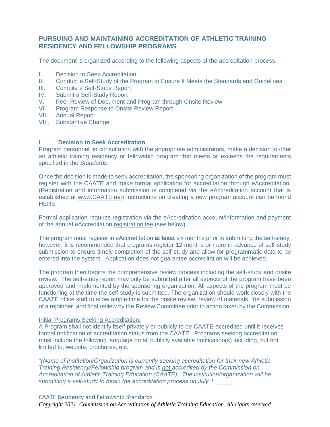# **PURSUING AND MAINTAINING ACCREDITATION OF ATHLETIC TRAINING RESIDENCY AND FELLOWSHIP PROGRAMS**

The document is organized according to the following aspects of the accreditation process.

- I. Decision to Seek Accreditation
- II. Conduct a Self-Study of the Program to Ensure It Meets the Standards and Guidelines
- III. Compile a Self-Study Report
- IV. Submit a Self-Study Report
- V. Peer Review of Document and Program through Onsite Review<br>VL Program Response to Onsite Review Report
- **Program Response to Onsite Review Report**
- VII. Annual Report
- VIII. Substantive Change

# I. **Decision to Seek Accreditation**

Program personnel, in consultation with the appropriate administrators, make a decision to offer an athletic training residency or fellowship program that meets or exceeds the requirements specified in the *Standards*.

Once the decision is made to seek accreditation, the sponsoring organization of the program must register with the CAATE and make formal application for accreditation through eAccreditation. (Registration and information submission is completed via the eAccreditation account that is established at [www.CAATE.net\)](http://www.caate.net/) Instructions on creating a new program account can be found [HERE.](http://caate.net/wp-content/uploads/2015/07/Create-a-New-Program-Account1.pdf)

Formal application requires registration via the eAccreditation account/information and payment of the annual eAccreditation [registration fee](https://caate.net/ppp-accreditation-fees/) (see below).

The program must register in eAccreditation **at least** six months prior to submitting the self-study, however, it is recommended that programs register 12 months or more in advance of self-study submission to ensure timely completion of the self-study and allow for programmatic data to be entered into the system. Application does not guarantee accreditation will be achieved.

The program then begins the comprehensive review process including the self-study and onsite review. The self-study report may only be submitted after all aspects of the program have been approved and implemented by the sponsoring organization. All aspects of the program must be functioning at the time the self-study is submitted. The organization should work closely with the CAATE office staff to allow ample time for the onsite review, review of materials, the submission of a rejoinder, and final review by the Review Committee prior to action taken by the Commission.

#### Initial Programs Seeking Accreditation:

A Program shall not identify itself privately or publicly to be CAATE-accredited until it receives formal notification of accreditation status from the CAATE. Programs seeking accreditation must include the following language on all publicly available notification(s) including, but not limited to, website, brochures, etc.

*"(Name of Institution/Organization is currently seeking accreditation for their new Athletic Training Residency/Fellowship program and is not accredited by the Commission on Accreditation of Athletic Training Education (CAATE). The institution/organization will be submitting a self-study to begin the accreditation process on July 1, \_\_\_\_\_."*

# CAATE Residency and Fellowship Standards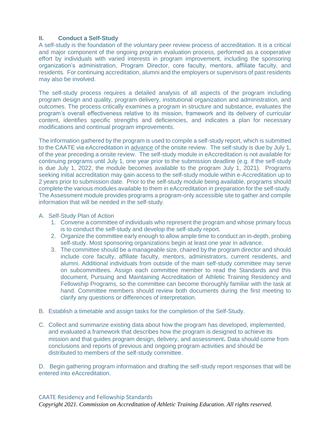# **II. Conduct a Self-Study**

A self-study is the foundation of the voluntary peer review process of accreditation. It is a critical and major component of the ongoing program evaluation process, performed as a cooperative effort by individuals with varied interests in program improvement, including the sponsoring organization's administration, Program Director, core faculty, mentors, affiliate faculty, and residents. For continuing accreditation, alumni and the employers or supervisors of past residents may also be involved.

The self-study process requires a detailed analysis of all aspects of the program including program design and quality, program delivery, institutional organization and administration, and outcomes. The process critically examines a program in structure and substance, evaluates the program's overall effectiveness relative to its mission, framework and its delivery of curricular content, identifies specific strengths and deficiencies, and indicates a plan for necessary modifications and continual program improvements.

The information gathered by the program is used to compile a self-study report, which is submitted to the CAATE via eAccreditation in advance of the onsite review. The self-study is due by July 1, of the year preceding a onsite review. The self-study module in eAccreditation is not available for continuing programs until July 1, one year prior to the submission deadline (e.g. if the self-study is due July 1, 2022, the module becomes available to the program July 1, 2021). Programs seeking initial accreditation may gain access to the self-study module within e-Accreditation up to 2 years prior to submission date. Prior to the self-study module being available, programs should complete the various modules available to them in eAccreditation in preparation for the self-study. The Assessment module provides programs a program-only accessible site to gather and compile information that will be needed in the self-study.

- A. Self-Study Plan of Action
	- 1. Convene a committee of individuals who represent the program and whose primary focus is to conduct the self-study and develop the self-study report.
	- 2. Organize the committee early enough to allow ample time to conduct an in-depth, probing self-study. Most sponsoring organizations begin at least one year in advance.
	- 3. The committee should be a manageable size, chaired by the program director and should include core faculty, affiliate faculty, mentors, administrators, current residents, and alumni. Additional individuals from outside of the main self-study committee may serve on subcommittees. Assign each committee member to read the Standards and this document, Pursuing and Maintaining Accreditation of Athletic Training Residency and Fellowship Programs, so the committee can become thoroughly familiar with the task at hand. Committee members should review both documents during the first meeting to clarify any questions or differences of interpretation.
- B. Establish a timetable and assign tasks for the completion of the Self-Study.
- C. Collect and summarize existing data about how the program has developed, implemented, and evaluated a framework that describes how the program is designed to achieve its mission and that guides program design, delivery, and assessment**.** Data should come from conclusions and reports of previous and ongoing program activities and should be distributed to members of the self-study committee.

D. Begin gathering program information and drafting the self-study report responses that will be entered into eAccreditation.

# CAATE Residency and Fellowship Standards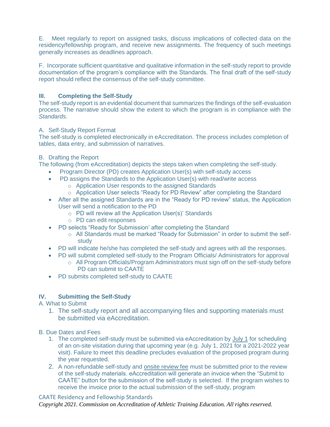E. Meet regularly to report on assigned tasks, discuss implications of collected data on the residency/fellowship program, and receive new assignments. The frequency of such meetings generally increases as deadlines approach.

F. Incorporate sufficient quantitative and qualitative information in the self-study report to provide documentation of the program's compliance with the Standards. The final draft of the self-study report should reflect the consensus of the self-study committee.

# **III. Completing the Self-Study**

The self-study report is an evidential document that summarizes the findings of the self-evaluation process. The narrative should show the extent to which the program is in compliance with the *Standards*.

# A. Self-Study Report Format

The self-study is completed electronically in eAccreditation. The process includes completion of tables, data entry, and submission of narratives.

# B. Drafting the Report

The following (from eAccreditation) depicts the steps taken when completing the self-study.

- Program Director (PD) creates Application User(s) with self-study access
- PD assigns the Standards to the Application User(s) with read/write access
	- o Application User responds to the assigned Standards
	- o Application User selects "Ready for PD Review" after completing the Standard
- After all the assigned Standards are in the "Ready for PD review" status, the Application User will send a notification to the PD
	- o PD will review all the Application User(s)' Standards
	- o PD can edit responses
- PD selects "Ready for Submission' after completing the Standard
	- o All Standards must be marked "Ready for Submission" in order to submit the selfstudy
- PD will indicate he/she has completed the self-study and agrees with all the responses.
- PD will submit completed self-study to the Program Officials/ Administrators for approval
	- $\circ$  All Program Officials/Program Administrators must sign off on the self-study before PD can submit to CAATE
- PD submits completed self-study to CAATE

# **IV. Submitting the Self-Study**

A. What to Submit

- 1. The self-study report and all accompanying files and supporting materials must be submitted via eAccreditation.
- B. Due Dates and Fees
	- 1. The completed self-study must be submitted via eAccreditation by July 1 for scheduling of an on-site visitation during that upcoming year (e.g. July 1, 2021 for a 2021-2022 year visit). Failure to meet this deadline precludes evaluation of the proposed program during the year requested.
	- 2. A non-refundable self-study and [onsite](https://caate.net/rp-accreditation-fees/) review fee must be submitted prior to the review of the self-study materials. eAccreditation will generate an invoice when the "Submit to CAATE" button for the submission of the self-study is selected. If the program wishes to receive the invoice prior to the actual submission of the self-study, program

# CAATE Residency and Fellowship Standards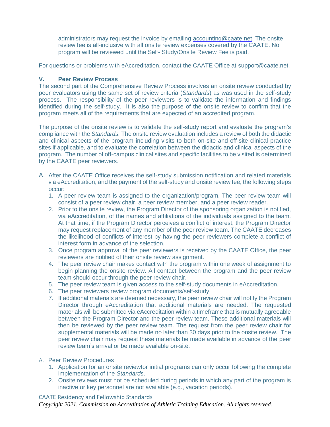administrators may request the invoice by emailing [accounting@caate.net.](mailto:accounting@caate.net) The onsite review fee is all-inclusive with all onsite review expenses covered by the CAATE. No program will be reviewed until the Self- Study/Onsite Review Fee is paid.

For questions or problems with eAccreditation, contact the CAATE Office at support@caate.net.

# **V. Peer Review Process**

The second part of the Comprehensive Review Process involves an onsite review conducted by peer evaluators using the same set of review criteria (*Standards*) as was used in the self-study process. The responsibility of the peer reviewers is to validate the information and findings identified during the self-study. It is also the purpose of the onsite review to confirm that the program meets all of the requirements that are expected of an accredited program.

The purpose of the onsite review is to validate the self-study report and evaluate the program's compliance with the *Standards.* The onsite review evaluation includes a review of both the didactic and clinical aspects of the program including visits to both on-site and off-site clinical practice sites if applicable, and to evaluate the correlation between the didactic and clinical aspects of the program. The number of off-campus clinical sites and specific facilities to be visited is determined by the CAATE peer reviewers.

- A. After the CAATE Office receives the self-study submission notification and related materials via eAccreditation, and the payment of the self-study and onsite review fee, the following steps occur:
	- 1. A peer review team is assigned to the organization/program. The peer review team will consist of a peer review chair, a peer review member, and a peer review reader.
	- 2. Prior to the onsite review, the Program Director of the sponsoring organization is notified, via eAccreditation, of the names and affiliations of the individuals assigned to the team. At that time, if the Program Director perceives a conflict of interest, the Program Director may request replacement of any member of the peer review team. The CAATE decreases the likelihood of conflicts of interest by having the peer reviewers complete a conflict of interest form in advance of the selection.
	- 3. Once program approval of the peer reviewers is received by the CAATE Office, the peer reviewers are notified of their onsite review assignment.
	- 4. The peer review chair makes contact with the program within one week of assignment to begin planning the onsite review. All contact between the program and the peer review team should occur through the peer review chair.
	- 5. The peer review team is given access to the self-study documents in eAccreditation.
	- 6. The peer reviewers review program documents/self-study.
	- 7. If additional materials are deemed necessary, the peer review chair will notify the Program Director through eAccreditation that additional materials are needed. The requested materials will be submitted via eAccreditation within a timeframe that is mutually agreeable between the Program Director and the peer review team. These additional materials will then be reviewed by the peer review team. The request from the peer review chair for supplemental materials will be made no later than 30 days prior to the onsite review. The peer review chair may request these materials be made available in advance of the peer review team's arrival or be made available on-site.

#### A. Peer Review Procedures

- 1. Application for an onsite reviewfor initial programs can only occur following the complete implementation of the *Standards*.
- 2. Onsite reviews must not be scheduled during periods in which any part of the program is inactive or key personnel are not available (e.g., vacation periods).

# CAATE Residency and Fellowship Standards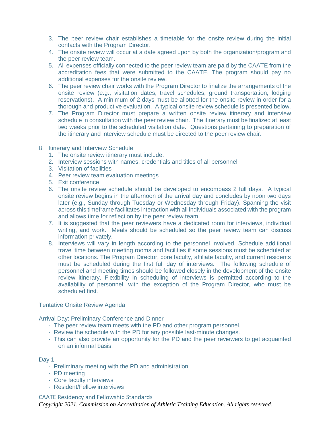- 3. The peer review chair establishes a timetable for the onsite review during the initial contacts with the Program Director.
- 4. The onsite review will occur at a date agreed upon by both the organization/program and the peer review team.
- 5. All expenses officially connected to the peer review team are paid by the CAATE from the accreditation fees that were submitted to the CAATE. The program should pay no additional expenses for the onsite review.
- 6. The peer review chair works with the Program Director to finalize the arrangements of the onsite review (e.g., visitation dates, travel schedules, ground transportation, lodging reservations). A minimum of 2 days must be allotted for the onsite review in order for a thorough and productive evaluation. A typical onsite review schedule is presented below.
- 7. The Program Director must prepare a written onsite review itinerary and interview schedule in consultation with the peer review chair. The itinerary must be finalized at least two weeks prior to the scheduled visitation date. Questions pertaining to preparation of the itinerary and interview schedule must be directed to the peer review chair.
- B. Itinerary and Interview Schedule
	- 1. The onsite review itinerary must include:
	- 2. Interview sessions with names, credentials and titles of all personnel
	- 3. Visitation of facilities
	- 4. Peer review team evaluation meetings
	- 5. Exit conference
	- 6. The onsite review schedule should be developed to encompass 2 full days. A typical onsite review begins in the afternoon of the arrival day and concludes by noon two days later (e.g., Sunday through Tuesday or Wednesday through Friday). Spanning the visit across this timeframe facilitates interaction with all individuals associated with the program and allows time for reflection by the peer review team.
	- 7. It is suggested that the peer reviewers have a dedicated room for interviews, individual writing, and work. Meals should be scheduled so the peer review team can discuss information privately.
	- 8. Interviews will vary in length according to the personnel involved. Schedule additional travel time between meeting rooms and facilities if some sessions must be scheduled at other locations. The Program Director, core faculty, affiliate faculty, and current residents must be scheduled during the first full day of interviews. The following schedule of personnel and meeting times should be followed closely in the development of the onsite review itinerary. Flexibility in scheduling of interviews is permitted according to the availability of personnel, with the exception of the Program Director, who must be scheduled first.

#### Tentative Onsite Review Agenda

Arrival Day: Preliminary Conference and Dinner

- The peer review team meets with the PD and other program personnel.
- Review the schedule with the PD for any possible last-minute changes.
- This can also provide an opportunity for the PD and the peer reviewers to get acquainted on an informal basis.

#### Day 1

- Preliminary meeting with the PD and administration
- PD meeting
- Core faculty interviews
- Resident/Fellow interviews

#### CAATE Residency and Fellowship Standards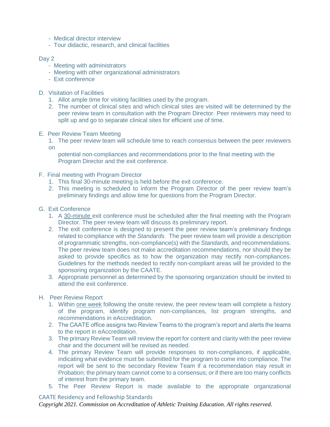- Medical director interview
- Tour didactic, research, and clinical facilities

### Day 2

- Meeting with administrators
- Meeting with other organizational administrators
- Exit conference
- D. Visitation of Facilities
	- 1. Allot ample time for visiting facilities used by the program.
	- 2. The number of clinical sites and which clinical sites are visited will be determined by the peer review team in consultation with the Program Director. Peer reviewers may need to split up and go to separate clinical sites for efficient use of time.
- E. Peer Review Team Meeting
	- 1. The peer review team will schedule time to reach consensus between the peer reviewers on

potential non-compliances and recommendations prior to the final meeting with the Program Director and the exit conference.

- F. Final meeting with Program Director
	- 1. This final 30-minute meeting is held before the exit conference.
	- 2. This meeting is scheduled to inform the Program Director of the peer review team's preliminary findings and allow time for questions from the Program Director.

### G. Exit Conference

- 1. A 30-minute exit conference must be scheduled after the final meeting with the Program Director. The peer review team will discuss its preliminary report.
- 2. The exit conference is designed to present the peer review team's preliminary findings related to compliance with the *Standards*. The peer review team will provide a description of programmatic strengths, non-compliance(s) with the *Standards,* and recommendations. The peer review team does not make accreditation recommendations, nor should they be asked to provide specifics as to how the organization may rectify non-compliances. Guidelines for the methods needed to rectify non-compliant areas will be provided to the sponsoring organization by the CAATE.
- 3. Appropriate personnel as determined by the sponsoring organization should be invited to attend the exit conference.

#### H. Peer Review Report

- 1. Within one week following the onsite review, the peer review team will complete a history of the program, identify program non-compliances, list program strengths, and recommendations in eAccreditation.
- 2. The CAATE office assigns two Review Teams to the program's report and alerts the teams to the report in eAccreditation.
- 3. The primary Review Team will review the report for content and clarity with the peer review chair and the document will be revised as needed.
- 4. The primary Review Team will provide responses to non-compliances, if applicable, indicating what evidence must be submitted for the program to come into compliance. The report will be sent to the secondary Review Team if a recommendation may result in Probation; the primary team cannot come to a consensus; or if there are too many conflicts of interest from the primary team.
- 5. The Peer Review Report is made available to the appropriate organizational

# CAATE Residency and Fellowship Standards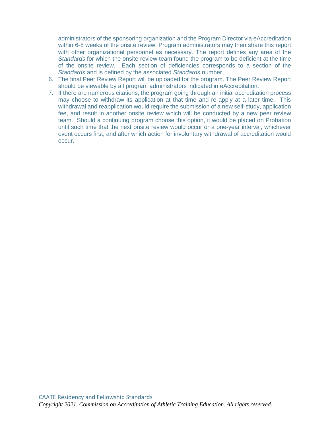administrators of the sponsoring organization and the Program Director via eAccreditation within 6-8 weeks of the onsite review. Program administrators may then share this report with other organizational personnel as necessary. The report defines any area of the *Standards* for which the onsite review team found the program to be deficient at the time of the onsite review. Each section of deficiencies corresponds to a section of the *Standards* and is defined by the associated *Standards* number.

- 6. The final Peer Review Report will be uploaded for the program. The Peer Review Report should be viewable by all program administrators indicated in eAccreditation.
- 7. If there are numerous citations, the program going through an initial accreditation process may choose to withdraw its application at that time and re-apply at a later time. This withdrawal and reapplication would require the submission of a new self-study, application fee, and result in another onsite review which will be conducted by a new peer review team. Should a continuing program choose this option, it would be placed on Probation until such time that the next onsite review would occur or a one-year interval, whichever event occurs first, and after which action for involuntary withdrawal of accreditation would occur.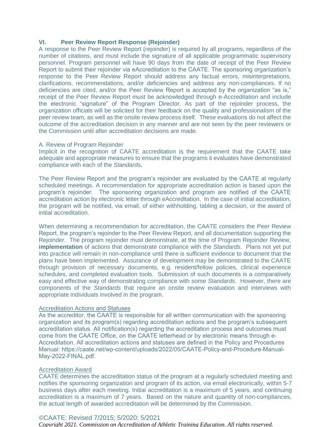#### **VI. Peer Review Report Response (Rejoinder)**

A response to the Peer Review Report (rejoinder) is required by all programs, regardless of the number of citations, and must include the signature of all applicable programmatic supervisory personnel. Program personnel will have 90 days from the date of receipt of the Peer Review Report to submit their rejoinder via eAccreditation to the CAATE. The sponsoring organization's response to the Peer Review Report should address any factual errors, misinterpretations, clarifications, recommendations, and/or deficiencies and address any non-compliances. If no deficiencies are cited, and/or the Peer Review Report is accepted by the organization "as is," receipt of the Peer Review Report must be acknowledged through e-Accreditation and include the electronic "signature" of the Program Director. As part of the rejoinder process, the organization officials will be solicited for their feedback on the quality and professionalism of the peer review team, as well as the onsite review process itself. These evaluations do not affect the outcome of the accreditation decision in any manner and are not seen by the peer reviewers or the Commission until after accreditation decisions are made.

#### A. Review of Program Rejoinder

Implicit in the recognition of CAATE accreditation is the requirement that the CAATE take adequate and appropriate measures to ensure that the programs it evaluates have demonstrated compliance with each of the *Standards***.**

The Peer Review Report and the program's rejoinder are evaluated by the CAATE at regularly scheduled meetings. A recommendation for appropriate accreditation action is based upon the program's rejoinder. The sponsoring organization and program are notified of the CAATE accreditation action by electronic letter through eAccreditation. In the case of initial accreditation, the program will be notified, via email, of either withholding, tabling a decision, or the award of initial accreditation.

When determining a recommendation for accreditation, the CAATE considers the Peer Review Report, the program's rejoinder to the Peer Review Report, and all documentation supporting the Rejoinder. The program rejoinder must demonstrate, at the time of Program Rejoinder Review, **implementation** of actions that demonstrate compliance with the *Standards*. Plans not yet put into practice will remain in non-compliance until there is sufficient evidence to document that the plans have been implemented. Assurance of development may be demonstrated to the CAATE through provision of necessary documents, e.g. resident/fellow policies, clinical experience schedules, and completed evaluation tools. Submission of such documents is a comparatively easy and effective way of demonstrating compliance with some *Standards*. However, there are components of the *Standards* that require an onsite review evaluation and interviews with appropriate individuals involved in the program.

#### Accreditation Actions and Statuses

As the accreditor, the CAATE is responsible for all written communication with the sponsoring organization and its program(s) regarding accreditation actions and the program's subsequent accreditation status. All notification(s) regarding the accreditation process and outcomes must come from the CAATE Office, on the CAATE letterhead or by electronic means through e-Accreditation. All accreditation actions and statuses are defined in the Policy and Procedures Manual: https://caate.net/wp-content/uploads/2022/05/CAATE-Policy-and-Procedure-Manual-May-2022-FINAL.pdf.

#### Accreditation Award

CAATE determines the accreditation status of the program at a regularly scheduled meeting and notifies the sponsoring organization and program of its action, via email electronically, within 5-7 business days after each meeting. Initial accreditation is a maximum of 5 years, and continuing accreditation is a maximum of 7 years. Based on the nature and quantity of non-compliances, the actual length of awarded accreditation will be determined by the Commission.

#### ©CAATE: Revised 7/2015; 5/2020; 5/2021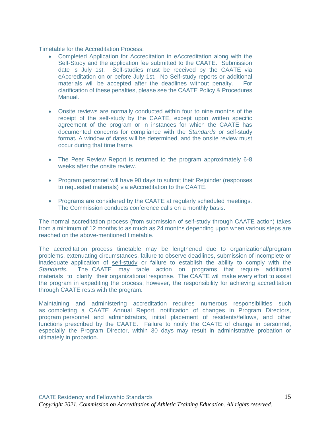Timetable for the Accreditation Process:

- Completed Application for Accreditation in eAccreditation along with the Self-Study and the application fee submitted to the CAATE. Submission date is July 1st. Self-studies must be received by the CAATE via eAccreditation on or before July 1st. No Self-study reports or additional materials will be accepted after the deadlines without penalty. For clarification of these penalties, please see the CAAT[E Policy & Procedures](https://caate.net/residency-programs/) Manual.
- Onsite reviews are normally conducted within four to nine months of the receipt of the self-study by the CAATE, except upon written specific agreement of the program or in instances for which the CAATE has documented concerns for compliance with the *Standards* or self-study format**.** A window of dates will be determined, and the onsite review must occur during that time frame.
- The Peer Review Report is returned to the program approximately 6-8 weeks after the onsite review.
- Program personnel will have 90 days to submit their Rejoinder (responses to requested materials) via eAccreditation to the CAATE.
- Programs are considered by the CAATE at regularly scheduled meetings. The Commission conducts conference calls on a monthly basis.

The normal accreditation process (from submission of self-study through CAATE action) takes from a minimum of 12 months to as much as 24 months depending upon when various steps are reached on the above-mentioned timetable.

The accreditation process timetable may be lengthened due to organizational/program problems, extenuating circumstances, failure to observe deadlines, submission of incomplete or inadequate application of self-study or failure to establish the ability to comply with the *Standards*. The CAATE may table action on programs that require additional materials to clarify their organizational response. The CAATE will make every effort to assist the program in expediting the process; however, the responsibility for achieving accreditation through CAATE rests with the program.

Maintaining and administering accreditation requires numerous responsibilities such as completing a CAATE Annual Report, notification of changes in Program [Directors,](https://caate.net/wp-content/uploads/2019/12/CAATE-Policy-and-Procedure-Manual-April-2019.pdf)  [program per](https://caate.net/wp-content/uploads/2019/12/CAATE-Policy-and-Procedure-Manual-April-2019.pdf)sonnel and administrators, initial placement of residents/fellows, and other functions prescribed by the CAATE. Failure to notify the CAATE of change in personnel, especially the Program Director, within 30 days may result in administrative probation or ultimately in probation.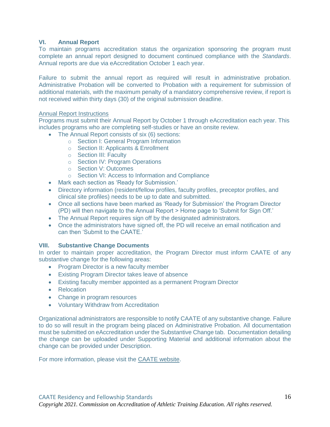# **VI. Annual Report**

To maintain programs accreditation status the organization sponsoring the program must complete an annual report designed to document continued compliance with the *Standards*. Annual reports are due via eAccreditation October 1 each year.

Failure to submit the annual report as required will result in administrative probation. Administrative Probation will be converted to Probation with a requirement for submission of additional materials, with the maximum penalty of a mandatory comprehensive review, if report is not received within thirty days (30) of the original submission deadline.

#### Annual Report Instructions

Programs must submit their Annual Report by October 1 through eAccreditation each year. This includes programs who are completing self-studies or have an onsite review.

- The Annual Report consists of six (6) sections:
	- o Section I: General Program Information
	- o Section II: Applicants & Enrollment
	- o Section III: Faculty
	- o Section IV: Program Operations
	- o Section V: Outcomes
	- o Section VI: Access to Information and Compliance
- Mark each section as 'Ready for Submission.'
- Directory information (resident/fellow profiles, faculty profiles, preceptor profiles, and clinical site profiles) needs to be up to date and submitted.
- Once all sections have been marked as 'Ready for Submission' the Program Director (PD) will then navigate to the Annual Report > Home page to 'Submit for Sign Off.'
- The Annual Report requires sign off by the designated administrators.
- Once the administrators have signed off, the PD will receive an email notification and can then 'Submit to the CAATE.'

# **VIII. Substantive Change Documents**

In order to maintain proper accreditation, the Program Director must inform CAATE of any substantive change for the following areas:

- Program Director is a new faculty member
- Existing Program Director takes leave of absence
- Existing faculty member appointed as a permanent Program Director
- Relocation
- Change in program resources
- Voluntary Withdraw from Accreditation

Organizational administrators are responsible to notify CAATE of any substantive change. Failure to do so will result in the program being placed on Administrative Probation. All documentation must be submitted on eAccreditation under the Substantive Change tab. Documentation detailing the change can be uploaded under Supporting Material and additional information about the change can be provided under Description.

For more information, please visit the [CAATE website.](http://caate.net/substantive-documents/)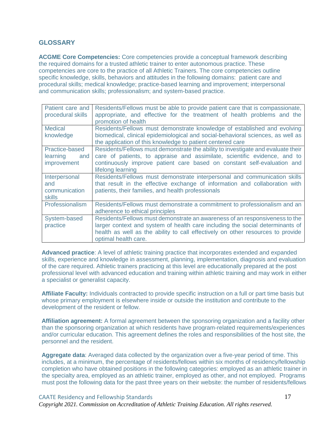# **GLOSSARY**

**ACGME Core Competencies:** Core competencies provide a conceptual framework describing the required domains for a trusted athletic trainer to enter autonomous practice. These competencies are core to the practice of all Athletic Trainers. The core competencies outline specific knowledge, skills, behaviors and attitudes in the following domains: patient care and procedural skills; medical knowledge; practice-based learning and improvement; interpersonal and communication skills; professionalism; and system-based practice.

| Patient care and<br>procedural skills                   | Residents/Fellows must be able to provide patient care that is compassionate,<br>appropriate, and effective for the treatment of health problems and the<br>promotion of health                                                                                         |
|---------------------------------------------------------|-------------------------------------------------------------------------------------------------------------------------------------------------------------------------------------------------------------------------------------------------------------------------|
| <b>Medical</b><br>knowledge                             | Residents/Fellows must demonstrate knowledge of established and evolving<br>biomedical, clinical epidemiological and social-behavioral sciences, as well as<br>the application of this knowledge to patient centered care                                               |
| Practice-based<br>learning<br>and<br><i>improvement</i> | Residents/Fellows must demonstrate the ability to investigate and evaluate their<br>care of patients, to appraise and assimilate, scientific evidence, and to<br>continuously improve patient care based on constant self-evaluation and<br>lifelong learning           |
| Interpersonal<br>and<br>communication<br><b>skills</b>  | Residents/Fellows must demonstrate interpersonal and communication skills<br>that result in the effective exchange of information and collaboration with<br>patients, their families, and health professionals                                                          |
| Professionalism                                         | Residents/Fellows must demonstrate a commitment to professionalism and an<br>adherence to ethical principles                                                                                                                                                            |
| System-based<br>practice                                | Residents/Fellows must demonstrate an awareness of an responsiveness to the<br>larger context and system of health care including the social determinants of<br>health as well as the ability to call effectively on other resources to provide<br>optimal health care. |

**Advanced practice**: A level of athletic training practice that incorporates extended and expanded skills, experience and knowledge in assessment, planning, implementation, diagnosis and evaluation of the care required. Athletic trainers practicing at this level are educationally prepared at the post professional level with advanced education and training within athletic training and may work in either a specialist or generalist capacity.

**Affiliate Faculty:** Individuals contracted to provide specific instruction on a full or part time basis but whose primary employment is elsewhere inside or outside the institution and contribute to the development of the resident or fellow.

**Affiliation agreement:** A formal agreement between the sponsoring organization and a facility other than the sponsoring organization at which residents have program-related requirements/experiences and/or curricular education. This agreement defines the roles and responsibilities of the host site, the personnel and the resident.

**Aggregate data**: Averaged data collected by the organization over a five-year period of time. This includes, at a minimum, the percentage of residents/fellows within six months of residency/fellowship completion who have obtained positions in the following categories: employed as an athletic trainer in the specialty area, employed as an athletic trainer, employed as other, and not employed. Programs must post the following data for the past three years on their website: the number of residents/fellows

# CAATE Residency and Fellowship Standards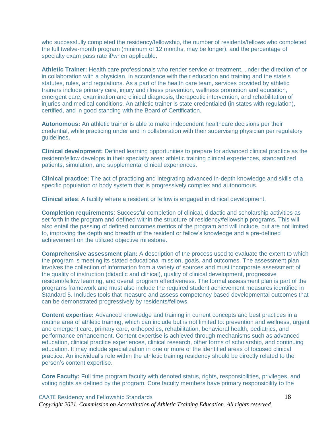who successfully completed the residency/fellowship, the number of residents/fellows who completed the full twelve-month program (minimum of 12 months, may be longer), and the percentage of specialty exam pass rate if/when applicable.

**Athletic Trainer:** Health care professionals who render service or treatment, under the direction of or in collaboration with a physician, in accordance with their education and training and the state's statutes, rules, and regulations. As a part of the health care team, services provided by athletic trainers include primary care, injury and illness prevention, wellness promotion and education, emergent care, examination and clinical diagnosis, therapeutic intervention, and rehabilitation of injuries and medical conditions. An athletic trainer is state credentialed (in states with regulation), certified, and in good standing with the Board of Certification.

**Autonomous:** An athletic trainer is able to make independent healthcare decisions per their credential, while practicing under and in collaboration with their supervising physician per regulatory guidelines**.** 

**Clinical development:** Defined learning opportunities to prepare for advanced clinical practice as the resident/fellow develops in their specialty area: athletic training clinical experiences, standardized patients, simulation, and supplemental clinical experiences.

**Clinical practice:** The act of practicing and integrating advanced in-depth knowledge and skills of a specific population or body system that is progressively complex and autonomous.

**Clinical sites**: A facility where a resident or fellow is engaged in clinical development.

**Completion requirements**: Successful completion of clinical, didactic and scholarship activities as set forth in the program and defined within the structure of residency/fellowship programs. This will also entail the passing of defined outcomes metrics of the program and will include, but are not limited to, improving the depth and breadth of the resident or fellow's knowledge and a pre-defined achievement on the utilized objective milestone.

**Comprehensive assessment plan:** A description of the process used to evaluate the extent to which the program is meeting its stated educational mission, goals, and outcomes. The assessment plan involves the collection of information from a variety of sources and must incorporate assessment of the quality of instruction (didactic and clinical), quality of clinical development, progressive resident/fellow learning, and overall program effectiveness. The formal assessment plan is part of the programs framework and must also include the required student achievement measures identified in Standard 5. Includes tools that measure and assess competency based developmental outcomes that can be demonstrated progressively by residents/fellows.

**Content expertise:** Advanced knowledge and training in current concepts and best practices in a routine area of athletic training, which can include but is not limited to: prevention and wellness, urgent and emergent care, primary care, orthopedics, rehabilitation, behavioral health, pediatrics, and performance enhancement. Content expertise is achieved through mechanisms such as advanced education, clinical practice experiences, clinical research, other forms of scholarship, and continuing education. It may include specialization in one or more of the identified areas of focused clinical practice. An individual's role within the athletic training residency should be directly related to the person's content expertise.

**Core Faculty:** Full time program faculty with denoted status, rights, responsibilities, privileges, and voting rights as defined by the program. Core faculty members have primary responsibility to the

#### CAATE Residency and Fellowship Standards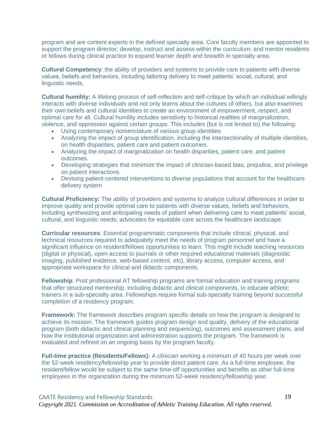program and are content experts in the defined specialty area. Core faculty members are appointed to support the program director; develop, instruct and assess within the curriculum; and mentor residents or fellows during clinical practice to expand learner depth and breadth in specialty area.

**Cultural Competency**: the ability of providers and systems to provide care to patients with diverse values, beliefs and behaviors, including tailoring delivery to meet patients' social, cultural, and linguistic needs.

**Cultural humility:** A lifelong process of self-reflection and self-critique by which an individual willingly interacts with diverse individuals and not only learns about the cultures of others, but also examines their own beliefs and cultural identities to create an environment of empowerment, respect, and optimal care for all. Cultural humility includes sensitivity to historical realities of marginalization, violence, and oppression against certain groups. This includes (but is not limited to) the following:

- Using contemporary nomenclature of various group identities
- Analyzing the impact of group identification, including the intersectionality of multiple identities, on health disparities, patient care and patient outcomes.
- Analyzing the impact of marginalization on health disparities, patient care, and patient outcomes.
- Developing strategies that minimize the impact of clinician-based bias, prejudice, and privilege on patient interactions.
- Devising patient-centered interventions to diverse populations that account for the healthcare delivery system

**Cultural Proficiency:** The ability of providers and systems to analyze cultural differences in order to improve quality and provide optimal care to patients with diverse values, beliefs and behaviors, including synthesizing and anticipating needs of patient when delivering care to meet patients' social, cultural, and linguistic needs; advocates for equitable care across the healthcare landscape.

**Curricular resources**: Essential programmatic components that include clinical, physical, and technical resources required to adequately meet the needs of program personnel and have a significant influence on resident/fellows opportunities to learn. This might include teaching resources (digital or physical), open access to journals or other required educational materials (diagnostic imaging, published evidence, web-based content, etc), library access, computer access, and appropriate workspace for clinical and didactic components.

**Fellowship**: Post professional AT fellowship programs are formal education and training programs that offer structured mentorship, including didactic and clinical components, to educate athletic trainers in a sub-specialty area. Fellowships require formal sub-specialty training beyond successful completion of a residency program.

**Framework:** The framework describes program specific details on how the program is designed to achieve its mission. The framework guides program design and quality, delivery of the educational program (both didactic and clinical planning and sequencing), outcomes and assessment plans, and how the institutional organization and administration supports the program. The framework is evaluated and refined on an ongoing basis by the program faculty.

**Full-time practice (Residents/Fellows):** A clinician working a minimum of 40 hours per week over the 52-week residency/fellowship year to provide direct patient care. As a full-time employee, the resident/fellow would be subject to the same time-off opportunities and benefits as other full-time employees in the organization during the minimum 52-week residency/fellowship year.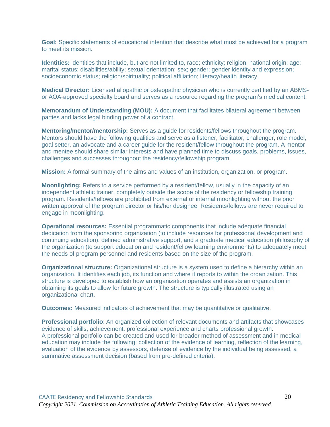**Goal:** Specific statements of educational intention that describe what must be achieved for a program to meet its mission.

**Identities:** identities that include, but are not limited to, race; ethnicity; religion; national origin; age; marital status; disabilities/ability; sexual orientation; sex; gender; gender identity and expression; socioeconomic status; religion/spirituality; political affiliation; literacy/health literacy.

**Medical Director:** Licensed allopathic or osteopathic physician who is currently certified by an ABMSor AOA-approved specialty board and serves as a resource regarding the program's medical content.

**Memorandum of Understanding (MOU):** A document that facilitates bilateral agreement between parties and lacks legal binding power of a contract.

**Mentoring/mentor/mentorship:** Serves as a guide for residents/fellows throughout the program. Mentors should have the following qualities and serve as a listener, facilitator, challenger, role model, goal setter, an advocate and a career guide for the resident/fellow throughout the program. A mentor and mentee should share similar interests and have planned time to discuss goals, problems, issues, challenges and successes throughout the residency/fellowship program.

**Mission:** A formal summary of the aims and values of an institution, organization, or program.

**Moonlighting:** Refers to a service performed by a resident/fellow, usually in the capacity of an independent athletic trainer, completely outside the scope of the residency or fellowship training program. Residents/fellows are prohibited from external or internal moonlighting without the prior written approval of the program director or his/her designee. Residents/fellows are never required to engage in moonlighting.

**Operational resources:** Essential programmatic components that include adequate financial dedication from the sponsoring organization (to include resources for professional development and continuing education), defined administrative support, and a graduate medical education philosophy of the organization (to support education and resident/fellow learning environments) to adequately meet the needs of program personnel and residents based on the size of the program.

**Organizational structure:** Organizational structure is a system used to define a hierarchy within an organization. It identifies each job, its function and where it reports to within the organization. This structure is developed to establish how an organization operates and assists an organization in obtaining its goals to allow for future growth. The structure is typically illustrated using an organizational chart.

**Outcomes:** Measured indicators of achievement that may be quantitative or qualitative.

**Professional portfolio**: An organized collection of relevant documents and artifacts that showcases evidence of skills, achievement, professional experience and charts professional growth. A professional portfolio can be created and used for broader method of assessment and in medical education may include the following: collection of the evidence of learning, reflection of the learning, evaluation of the evidence by assessors, defense of evidence by the individual being assessed, a summative assessment decision (based from pre-defined criteria).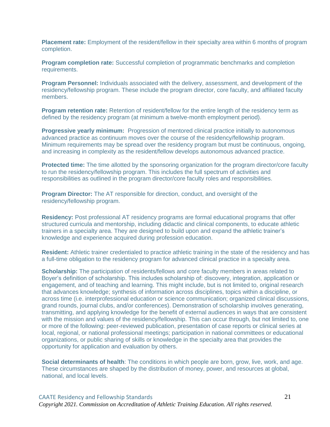**Placement rate:** Employment of the resident/fellow in their specialty area within 6 months of program completion.

**Program completion rate:** Successful completion of programmatic benchmarks and completion requirements.

**Program Personnel:** Individuals associated with the delivery, assessment, and development of the residency/fellowship program. These include the program director, core faculty, and affiliated faculty members.

**Program retention rate:** Retention of resident/fellow for the entire length of the residency term as defined by the residency program (at minimum a twelve-month employment period).

**Progressive yearly minimum:** Progression of mentored clinical practice initially to autonomous advanced practice as continuum moves over the course of the residency/fellowship program. Minimum requirements may be spread over the residency program but must be continuous, ongoing, and increasing in complexity as the resident/fellow develops autonomous advanced practice.

**Protected time:** The time allotted by the sponsoring organization for the program director/core faculty to run the residency/fellowship program. This includes the full spectrum of activities and responsibilities as outlined in the program director/core faculty roles and responsibilities.

**Program Director:** The AT responsible for direction, conduct, and oversight of the residency/fellowship program.

**Residency:** Post professional AT residency programs are formal educational programs that offer structured curricula and mentorship, including didactic and clinical components, to educate athletic trainers in a specialty area. They are designed to build upon and expand the athletic trainer's knowledge and experience acquired during profession education.

**Resident:** Athletic trainer credentialed to practice athletic training in the state of the residency and has a full-time obligation to the residency program for advanced clinical practice in a specialty area.

**Scholarship:** The participation of residents/fellows and core faculty members in areas related to Boyer's definition of scholarship. This includes scholarship of: discovery, integration, application or engagement, and of teaching and learning. This might include, but is not limited to, original research that advances knowledge; synthesis of information across disciplines, topics within a discipline, or across time (i.e. interprofessional education or science communication; organized clinical discussions, grand rounds, journal clubs, and/or conferences). Demonstration of scholarship involves generating, transmitting, and applying knowledge for the benefit of external audiences in ways that are consistent with the mission and values of the residency/fellowship. This can occur through, but not limited to, one or more of the following: peer-reviewed publication, presentation of case reports or clinical series at local, regional, or national professional meetings; participation in national committees or educational organizations, or public sharing of skills or knowledge in the specialty area that provides the opportunity for application and evaluation by others.

**Social determinants of health**: The conditions in which people are born, grow, live, work, and age. These circumstances are shaped by the distribution of money, power, and resources at global, national, and local levels.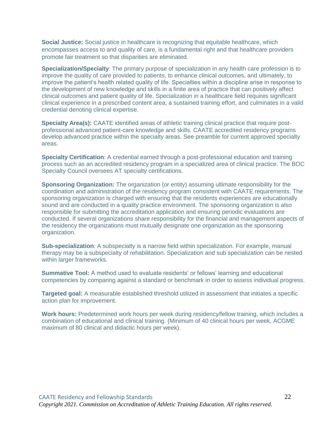**Social Justice:** Social justice in healthcare is recognizing that equitable healthcare, which encompasses access to and quality of care, is a fundamental right and that healthcare providers promote fair treatment so that disparities are eliminated.

**Specialization/Specialty**: The primary purpose of specialization in any health care profession is to improve the quality of care provided to patients, to enhance clinical outcomes, and ultimately, to improve the patient's health related quality of life. Specialties within a discipline arise in response to the development of new knowledge and skills in a finite area of practice that can positively affect clinical outcomes and patient quality of life. Specialization in a healthcare field requires significant clinical experience in a prescribed content area, a sustained training effort, and culminates in a valid credential denoting clinical expertise.

**Specialty Area(s):** CAATE identified areas of athletic training clinical practice that require postprofessional advanced patient-care knowledge and skills. CAATE accredited residency programs develop advanced practice within the specialty areas. See preamble for current approved specialty areas.

**Specialty Certification**: A credential earned through a post-professional education and training process such as an accredited residency program in a specialized area of clinical practice. The BOC Specialty Council oversees AT specialty certifications.

**Sponsoring Organization:** The organization (or entity) assuming ultimate responsibility for the coordination and administration of the residency program consistent with CAATE requirements. The sponsoring organization is charged with ensuring that the residents experiences are educationally sound and are conducted in a quality practice environment. The sponsoring organization is also responsible for submitting the accreditation application and ensuring periodic evaluations are conducted. If several organizations share responsibility for the financial and management aspects of the residency the organizations must mutually designate one organization as the sponsoring organization.

**Sub-specialization**: A subspecialty is a narrow field within specialization. For example, manual therapy may be a subspecialty of rehabilitation. Specialization and sub specialization can be nested within larger frameworks.

**Summative Tool:** A method used to evaluate residents' or fellows' learning and educational competencies by comparing against a standard or benchmark in order to assess individual progress.

**Targeted goal:** A measurable established threshold utilized in assessment that initiates a specific action plan for improvement.

**Work hours:** Predetermined work hours per week during residency/fellow training, which includes a combination of educational and clinical training. (Minimum of 40 clinical hours per week, ACGME maximum of 80 clinical and didactic hours per week).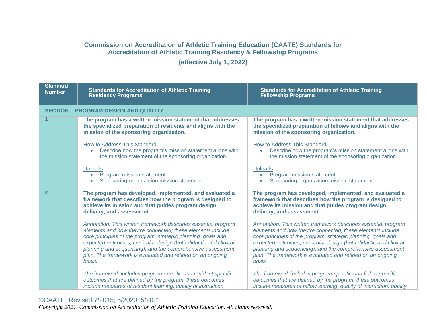# **Commission on Accreditation of Athletic Training Education (CAATE) Standards for Accreditation of Athletic Training Residency & Fellowship Programs**

**(effective July 1, 2022)**

| <b>Standard</b><br><b>Number</b> | <b>Standards for Accreditation of Athletic Training</b><br><b>Residency Programs</b>                                                                                                                                                                                                                                                                                                                    | <b>Standards for Accreditation of Athletic Training</b><br><b>Fellowship Programs</b>                                                                                                                                                                                                                                                                                                                   |
|----------------------------------|---------------------------------------------------------------------------------------------------------------------------------------------------------------------------------------------------------------------------------------------------------------------------------------------------------------------------------------------------------------------------------------------------------|---------------------------------------------------------------------------------------------------------------------------------------------------------------------------------------------------------------------------------------------------------------------------------------------------------------------------------------------------------------------------------------------------------|
|                                  | <b>SECTION I: PROGRAM DESIGN AND QUALITY</b>                                                                                                                                                                                                                                                                                                                                                            |                                                                                                                                                                                                                                                                                                                                                                                                         |
|                                  | The program has a written mission statement that addresses<br>the specialized preparation of residents and aligns with the<br>mission of the sponsoring organization.                                                                                                                                                                                                                                   | The program has a written mission statement that addresses<br>the specialized preparation of fellows and aligns with the<br>mission of the sponsoring organization.                                                                                                                                                                                                                                     |
|                                  | How to Address This Standard<br>Describe how the program's mission statement aligns with<br>$\bullet$<br>the mission statement of the sponsoring organization.                                                                                                                                                                                                                                          | How to Address This Standard<br>Describe how the program's mission statement aligns with<br>$\bullet$<br>the mission statement of the sponsoring organization.                                                                                                                                                                                                                                          |
|                                  | <b>Uploads</b><br>Program mission statement<br>Sponsoring organization mission statement                                                                                                                                                                                                                                                                                                                | <b>Uploads</b><br>Program mission statement<br>Sponsoring organization mission statement                                                                                                                                                                                                                                                                                                                |
| 2                                | The program has developed, implemented, and evaluated a<br>framework that describes how the program is designed to<br>achieve its mission and that guides program design,<br>delivery, and assessment.                                                                                                                                                                                                  | The program has developed, implemented, and evaluated a<br>framework that describes how the program is designed to<br>achieve its mission and that guides program design,<br>delivery, and assessment.                                                                                                                                                                                                  |
|                                  | Annotation: This written framework describes essential program<br>elements and how they're connected; these elements include<br>core principles of the program, strategic planning, goals and<br>expected outcomes, curricular design (both didactic and clinical<br>planning and sequencing), and the comprehensive assessment<br>plan. The framework is evaluated and refined on an ongoing<br>basis. | Annotation: This written framework describes essential program<br>elements and how they're connected; these elements include<br>core principles of the program, strategic planning, goals and<br>expected outcomes, curricular design (both didactic and clinical<br>planning and sequencing), and the comprehensive assessment<br>plan. The framework is evaluated and refined on an ongoing<br>basis. |
|                                  | The framework includes program-specific and resident specific<br>outcomes that are defined by the program; these outcomes<br>include measures of resident learning, quality of instruction,                                                                                                                                                                                                             | The framework includes program-specific and fellow specific<br>outcomes that are defined by the program; these outcomes<br>include measures of fellow learning, quality of instruction, quality                                                                                                                                                                                                         |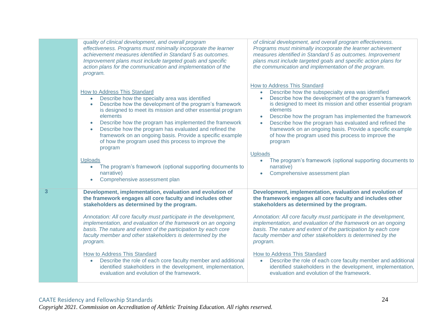|   | quality of clinical development, and overall program<br>effectiveness. Programs must minimally incorporate the learner<br>achievement measures identified in Standard 5 as outcomes.<br>Improvement plans must include targeted goals and specific<br>action plans for the communication and implementation of the<br>program.                                                                                                                                                                                                                                                                                                                                                  | of clinical development, and overall program effectiveness.<br>Programs must minimally incorporate the learner achievement<br>measures identified in Standard 5 as outcomes. Improvement<br>plans must include targeted goals and specific action plans for<br>the communication and implementation of the program.                                                                                                                                                                                                                                                                                                                                                       |
|---|---------------------------------------------------------------------------------------------------------------------------------------------------------------------------------------------------------------------------------------------------------------------------------------------------------------------------------------------------------------------------------------------------------------------------------------------------------------------------------------------------------------------------------------------------------------------------------------------------------------------------------------------------------------------------------|---------------------------------------------------------------------------------------------------------------------------------------------------------------------------------------------------------------------------------------------------------------------------------------------------------------------------------------------------------------------------------------------------------------------------------------------------------------------------------------------------------------------------------------------------------------------------------------------------------------------------------------------------------------------------|
|   | <b>How to Address This Standard</b><br>Describe how the specialty area was identified<br>$\bullet$<br>Describe how the development of the program's framework<br>$\bullet$<br>is designed to meet its mission and other essential program<br>elements<br>Describe how the program has implemented the framework<br>Describe how the program has evaluated and refined the<br>$\bullet$<br>framework on an ongoing basis. Provide a specific example<br>of how the program used this process to improve the<br>program<br><b>Uploads</b><br>The program's framework (optional supporting documents to<br>narrative)<br>Comprehensive assessment plan                             | How to Address This Standard<br>Describe how the subspecialty area was identified<br>Describe how the development of the program's framework<br>is designed to meet its mission and other essential program<br>elements<br>Describe how the program has implemented the framework<br>$\bullet$<br>Describe how the program has evaluated and refined the<br>$\bullet$<br>framework on an ongoing basis. Provide a specific example<br>of how the program used this process to improve the<br>program<br><b>Uploads</b><br>The program's framework (optional supporting documents to<br>narrative)<br>Comprehensive assessment plan                                        |
| 3 | Development, implementation, evaluation and evolution of<br>the framework engages all core faculty and includes other<br>stakeholders as determined by the program.<br>Annotation: All core faculty must participate in the development,<br>implementation, and evaluation of the framework on an ongoing<br>basis. The nature and extent of the participation by each core<br>faculty member and other stakeholders is determined by the<br>program.<br>How to Address This Standard<br>Describe the role of each core faculty member and additional<br>$\bullet$<br>identified stakeholders in the development, implementation,<br>evaluation and evolution of the framework. | Development, implementation, evaluation and evolution of<br>the framework engages all core faculty and includes other<br>stakeholders as determined by the program.<br>Annotation: All core faculty must participate in the development,<br>implementation, and evaluation of the framework on an ongoing<br>basis. The nature and extent of the participation by each core<br>faculty member and other stakeholders is determined by the<br>program.<br><b>How to Address This Standard</b><br>Describe the role of each core faculty member and additional<br>identified stakeholders in the development, implementation,<br>evaluation and evolution of the framework. |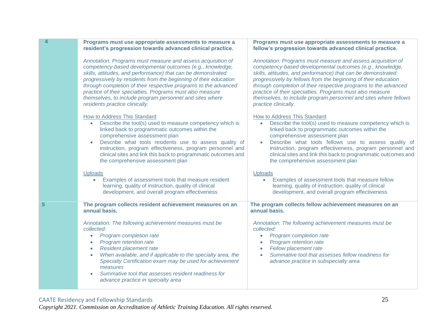|    | Programs must use appropriate assessments to measure a<br>resident's progression towards advanced clinical practice.                                                                                                                                                                                                                                                                                                                                                                       | Programs must use appropriate assessments to measure a<br>fellow's progression towards advanced clinical practice.                                                                                                                                                                                                                                                                                                                                                                     |
|----|--------------------------------------------------------------------------------------------------------------------------------------------------------------------------------------------------------------------------------------------------------------------------------------------------------------------------------------------------------------------------------------------------------------------------------------------------------------------------------------------|----------------------------------------------------------------------------------------------------------------------------------------------------------------------------------------------------------------------------------------------------------------------------------------------------------------------------------------------------------------------------------------------------------------------------------------------------------------------------------------|
|    | Annotation: Programs must measure and assess acquisition of<br>competency-based developmental outcomes (e.g., knowledge,<br>skills, attitudes, and performance) that can be demonstrated<br>progressively by residents from the beginning of their education<br>through completion of their respective programs to the advanced<br>practice of their specialties. Programs must also measure<br>themselves, to include program personnel and sites where<br>residents practice clinically. | Annotation: Programs must measure and assess acquisition of<br>competency-based developmental outcomes (e.g., knowledge,<br>skills, attitudes, and performance) that can be demonstrated<br>progressively by fellows from the beginning of their education<br>through completion of their respective programs to the advanced<br>practice of their specialties. Programs must also measure<br>themselves, to include program personnel and sites where fellows<br>practice clinically. |
|    | How to Address This Standard<br>Describe the tool(s) used to measure competency which is<br>$\bullet$<br>linked back to programmatic outcomes within the<br>comprehensive assessment plan<br>Describe what tools residents use to assess quality of<br>$\bullet$<br>instruction, program effectiveness, program personnel and<br>clinical sites and link this back to programmatic outcomes and<br>the comprehensive assessment plan                                                       | <b>How to Address This Standard</b><br>Describe the tool(s) used to measure competency which is<br>$\bullet$<br>linked back to programmatic outcomes within the<br>comprehensive assessment plan<br>Describe what tools fellows use to assess quality of<br>instruction, program effectiveness, program personnel and<br>clinical sites and link this back to programmatic outcomes and<br>the comprehensive assessment plan                                                           |
|    | <b>Uploads</b><br>Examples of assessment tools that measure resident<br>learning, quality of instruction, quality of clinical<br>development, and overall program effectiveness                                                                                                                                                                                                                                                                                                            | <b>Uploads</b><br>Examples of assessment tools that measure fellow<br>learning, quality of instruction, quality of clinical<br>development, and overall program effectiveness                                                                                                                                                                                                                                                                                                          |
| 5. | The program collects resident achievement measures on an<br>annual basis.                                                                                                                                                                                                                                                                                                                                                                                                                  | The program collects fellow achievement measures on an<br>annual basis.                                                                                                                                                                                                                                                                                                                                                                                                                |
|    | Annotation: The following achievement measures must be<br>collected:<br>Program completion rate<br>$\bullet$<br>Program retention rate<br>$\bullet$<br>Resident placement rate<br>$\bullet$<br>When available, and if applicable to the specialty area, the<br>$\bullet$<br>Specialty Certification exam may be used for achievement<br>measures<br>Summative tool that assesses resident readiness for<br>advance practice in specialty area                                              | Annotation: The following achievement measures must be<br>collected:<br>Program completion rate<br>$\bullet$<br>Program retention rate<br>Fellow placement rate<br>Summative tool that assesses fellow readiness for<br>advance practice in subspecialty area                                                                                                                                                                                                                          |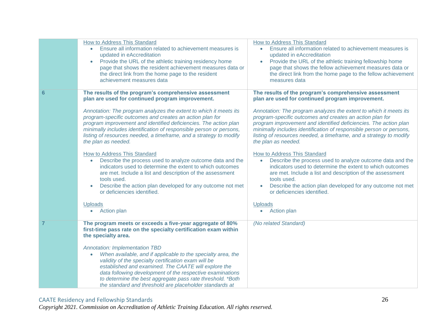|   | How to Address This Standard<br>Ensure all information related to achievement measures is<br>$\bullet$<br>updated in eAccreditation<br>Provide the URL of the athletic training residency home<br>$\bullet$<br>page that shows the resident achievement measures data or<br>the direct link from the home page to the resident<br>achievement measures data                                                                                                                                                                                                                                                                                                                                                                                                                                                                                                                                          | How to Address This Standard<br>Ensure all information related to achievement measures is<br>updated in eAccreditation<br>Provide the URL of the athletic training fellowship home<br>page that shows the fellow achievement measures data or<br>the direct link from the home page to the fellow achievement<br>measures data                                                                                                                                                                                                                                                                                                                                                                                                                                                                                                                                             |
|---|------------------------------------------------------------------------------------------------------------------------------------------------------------------------------------------------------------------------------------------------------------------------------------------------------------------------------------------------------------------------------------------------------------------------------------------------------------------------------------------------------------------------------------------------------------------------------------------------------------------------------------------------------------------------------------------------------------------------------------------------------------------------------------------------------------------------------------------------------------------------------------------------------|----------------------------------------------------------------------------------------------------------------------------------------------------------------------------------------------------------------------------------------------------------------------------------------------------------------------------------------------------------------------------------------------------------------------------------------------------------------------------------------------------------------------------------------------------------------------------------------------------------------------------------------------------------------------------------------------------------------------------------------------------------------------------------------------------------------------------------------------------------------------------|
| 6 | The results of the program's comprehensive assessment<br>plan are used for continued program improvement.<br>Annotation: The program analyzes the extent to which it meets its<br>program-specific outcomes and creates an action plan for<br>program improvement and identified deficiencies. The action plan<br>minimally includes identification of responsible person or persons,<br>listing of resources needed, a timeframe, and a strategy to modify<br>the plan as needed.<br>How to Address This Standard<br>Describe the process used to analyze outcome data and the<br>$\bullet$<br>indicators used to determine the extent to which outcomes<br>are met. Include a list and description of the assessment<br>tools used.<br>Describe the action plan developed for any outcome not met<br>$\bullet$<br>or deficiencies identified.<br><b>Uploads</b><br><b>Action plan</b><br>$\bullet$ | The results of the program's comprehensive assessment<br>plan are used for continued program improvement.<br>Annotation: The program analyzes the extent to which it meets its<br>program-specific outcomes and creates an action plan for<br>program improvement and identified deficiencies. The action plan<br>minimally includes identification of responsible person or persons,<br>listing of resources needed, a timeframe, and a strategy to modify<br>the plan as needed.<br><b>How to Address This Standard</b><br>Describe the process used to analyze outcome data and the<br>$\bullet$<br>indicators used to determine the extent to which outcomes<br>are met. Include a list and description of the assessment<br>tools used.<br>Describe the action plan developed for any outcome not met<br>or deficiencies identified.<br><b>Uploads</b><br>Action plan |
|   | The program meets or exceeds a five-year aggregate of 80%<br>first-time pass rate on the specialty certification exam within<br>the specialty area.<br><b>Annotation: Implementation TBD</b><br>When available, and if applicable to the specialty area, the<br>$\bullet$<br>validity of the specialty certification exam will be<br>established and examined. The CAATE will explore the<br>data following development of the respective examinations<br>to determine the best aggregate pass rate threshold. *Both<br>the standard and threshold are placeholder standards at                                                                                                                                                                                                                                                                                                                      | (No related Standard)                                                                                                                                                                                                                                                                                                                                                                                                                                                                                                                                                                                                                                                                                                                                                                                                                                                      |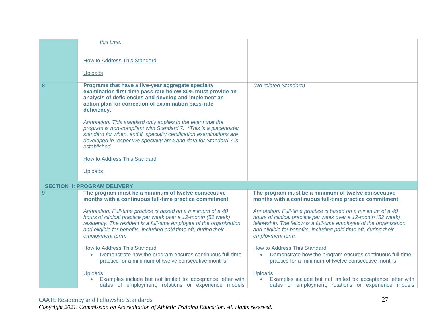|           | this time.                                                                                                                                                                                                                                                                                    |                                                                                                                                                                                                                                                                                             |
|-----------|-----------------------------------------------------------------------------------------------------------------------------------------------------------------------------------------------------------------------------------------------------------------------------------------------|---------------------------------------------------------------------------------------------------------------------------------------------------------------------------------------------------------------------------------------------------------------------------------------------|
|           | How to Address This Standard                                                                                                                                                                                                                                                                  |                                                                                                                                                                                                                                                                                             |
|           | <b>Uploads</b>                                                                                                                                                                                                                                                                                |                                                                                                                                                                                                                                                                                             |
| 8         | Programs that have a five-year aggregate specialty<br>examination first-time pass rate below 80% must provide an<br>analysis of deficiencies and develop and implement an<br>action plan for correction of examination pass-rate<br>deficiency.                                               | (No related Standard)                                                                                                                                                                                                                                                                       |
|           | Annotation: This standard only applies in the event that the<br>program is non-compliant with Standard 7. * This is a placeholder<br>standard for when, and if, specialty certification examinations are<br>developed in respective specialty area and data for Standard 7 is<br>established. |                                                                                                                                                                                                                                                                                             |
|           | How to Address This Standard                                                                                                                                                                                                                                                                  |                                                                                                                                                                                                                                                                                             |
|           | <b>Uploads</b>                                                                                                                                                                                                                                                                                |                                                                                                                                                                                                                                                                                             |
|           | <b>SECTION II: PROGRAM DELIVERY</b>                                                                                                                                                                                                                                                           |                                                                                                                                                                                                                                                                                             |
| <u>ຼດ</u> | The program must be a minimum of twelve consecutive<br>months with a continuous full-time practice commitment.                                                                                                                                                                                | The program must be a minimum of twelve consecutive<br>months with a continuous full-time practice commitment.                                                                                                                                                                              |
|           | Annotation: Full-time practice is based on a minimum of a 40<br>hours of clinical practice per week over a 12-month (52 week)<br>residency. The resident is a full-time employee of the organization<br>and eligible for benefits, including paid time off, during their<br>employment term.  | Annotation: Full-time practice is based on a minimum of a 40<br>hours of clinical practice per week over a 12-month (52 week)<br>fellowship. The fellow is a full-time employee of the organization<br>and eligible for benefits, including paid time off, during their<br>employment term. |
|           | <b>How to Address This Standard</b><br>Demonstrate how the program ensures continuous full-time<br>$\bullet$<br>practice for a minimum of twelve consecutive months                                                                                                                           | <b>How to Address This Standard</b><br>Demonstrate how the program ensures continuous full-time<br>practice for a minimum of twelve consecutive months                                                                                                                                      |
|           | <b>Uploads</b><br>Examples include but not limited to: acceptance letter with<br>dates of employment; rotations or experience models                                                                                                                                                          | Uploads<br>Examples include but not limited to: acceptance letter with<br>dates of employment; rotations or experience models                                                                                                                                                               |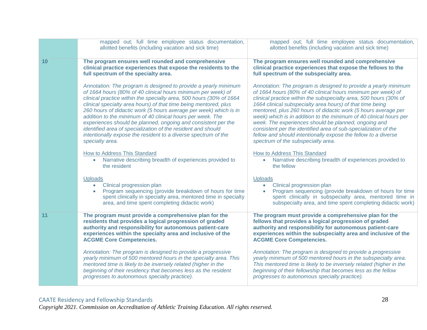|    | mapped out; full time employee status documentation,<br>allotted benefits (including vacation and sick time)                                                                                                                                                                                                                                                                                                                                                                                                                                                                                                                        | mapped out; full time employee status documentation,<br>allotted benefits (including vacation and sick time)                                                                                                                                                                                                                                                                                                                                                                                                                                                                                                                                 |
|----|-------------------------------------------------------------------------------------------------------------------------------------------------------------------------------------------------------------------------------------------------------------------------------------------------------------------------------------------------------------------------------------------------------------------------------------------------------------------------------------------------------------------------------------------------------------------------------------------------------------------------------------|----------------------------------------------------------------------------------------------------------------------------------------------------------------------------------------------------------------------------------------------------------------------------------------------------------------------------------------------------------------------------------------------------------------------------------------------------------------------------------------------------------------------------------------------------------------------------------------------------------------------------------------------|
| 10 | The program ensures well rounded and comprehensive<br>clinical practice experiences that expose the residents to the<br>full spectrum of the specialty area.                                                                                                                                                                                                                                                                                                                                                                                                                                                                        | The program ensures well rounded and comprehensive<br>clinical practice experiences that expose the fellows to the<br>full spectrum of the subspecialty area.                                                                                                                                                                                                                                                                                                                                                                                                                                                                                |
|    | Annotation: The program is designed to provide a yearly minimum<br>of 1664 hours (80% of 40 clinical hours minimum per week) of<br>clinical practice within the specialty area, 500 hours (30% of 1664<br>clinical specialty area hours) of that time being mentored, plus<br>260 hours of didactic work (5 hours average per week) which is in<br>addition to the minimum of 40 clinical hours per week. The<br>experiences should be planned, ongoing and consistent per the<br>identified area of specialization of the resident and should<br>intentionally expose the resident to a diverse spectrum of the<br>specialty area. | Annotation: The program is designed to provide a yearly minimum<br>of 1664 hours (80% of 40 clinical hours minimum per week) of<br>clinical practice within the subspecialty area, 500 hours (30% of<br>1664 clinical subspecialty area hours) of that time being<br>mentored, plus 260 hours of didactic work (5 hours average per<br>week) which is in addition to the minimum of 40 clinical hours per<br>week. The experiences should be planned, ongoing and<br>consistent per the identified area of sub-specialization of the<br>fellow and should intentionally expose the fellow to a diverse<br>spectrum of the subspecialty area. |
|    | How to Address This Standard<br>Narrative describing breadth of experiences provided to<br>$\bullet$<br>the resident                                                                                                                                                                                                                                                                                                                                                                                                                                                                                                                | <b>How to Address This Standard</b><br>Narrative describing breadth of experiences provided to<br>$\bullet$<br>the fellow                                                                                                                                                                                                                                                                                                                                                                                                                                                                                                                    |
|    | <b>Uploads</b><br>Clinical progression plan<br>$\bullet$<br>Program sequencing (provide breakdown of hours for time<br>spent clinically in specialty area, mentored time in specialty<br>area, and time spent completing didactic work)                                                                                                                                                                                                                                                                                                                                                                                             | <b>Uploads</b><br>Clinical progression plan<br>$\bullet$<br>Program sequencing (provide breakdown of hours for time<br>spent clinically in subspecialty area, mentored time in<br>subspecialty area, and time spent completing didactic work)                                                                                                                                                                                                                                                                                                                                                                                                |
| 11 | The program must provide a comprehensive plan for the<br>residents that provides a logical progression of graded<br>authority and responsibility for autonomous patient-care<br>experiences within the specialty area and inclusive of the<br><b>ACGME Core Competencies.</b>                                                                                                                                                                                                                                                                                                                                                       | The program must provide a comprehensive plan for the<br>fellows that provides a logical progression of graded<br>authority and responsibility for autonomous patient-care<br>experiences within the subspecialty area and inclusive of the<br><b>ACGME Core Competencies.</b>                                                                                                                                                                                                                                                                                                                                                               |
|    | Annotation: The program is designed to provide a progressive<br>yearly minimum of 500 mentored hours in the specialty area. This<br>mentored time is likely to be inversely related (higher in the<br>beginning of their residency that becomes less as the resident<br>progresses to autonomous specialty practice).                                                                                                                                                                                                                                                                                                               | Annotation: The program is designed to provide a progressive<br>yearly minimum of 500 mentored hours in the subspecialty area.<br>This mentored time is likely to be inversely related (higher in the<br>beginning of their fellowship that becomes less as the fellow<br>progresses to autonomous specialty practice).                                                                                                                                                                                                                                                                                                                      |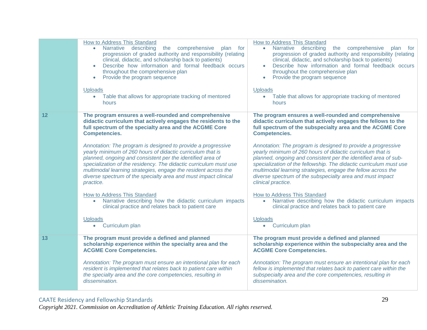| How to Address This Standard                                                                                                                                                                                                                                                                                                                                                                                                                                                                                                                                                                                                | How to Address This Standard                                                                                                                                                                                                                                                                                                                                                                                                                                                                                                                                                                                                                                        |
|-----------------------------------------------------------------------------------------------------------------------------------------------------------------------------------------------------------------------------------------------------------------------------------------------------------------------------------------------------------------------------------------------------------------------------------------------------------------------------------------------------------------------------------------------------------------------------------------------------------------------------|---------------------------------------------------------------------------------------------------------------------------------------------------------------------------------------------------------------------------------------------------------------------------------------------------------------------------------------------------------------------------------------------------------------------------------------------------------------------------------------------------------------------------------------------------------------------------------------------------------------------------------------------------------------------|
| Narrative describing                                                                                                                                                                                                                                                                                                                                                                                                                                                                                                                                                                                                        | Narrative describing                                                                                                                                                                                                                                                                                                                                                                                                                                                                                                                                                                                                                                                |
| the comprehensive                                                                                                                                                                                                                                                                                                                                                                                                                                                                                                                                                                                                           | the comprehensive                                                                                                                                                                                                                                                                                                                                                                                                                                                                                                                                                                                                                                                   |
| plan for                                                                                                                                                                                                                                                                                                                                                                                                                                                                                                                                                                                                                    | plan for                                                                                                                                                                                                                                                                                                                                                                                                                                                                                                                                                                                                                                                            |
| progression of graded authority and responsibility (relating                                                                                                                                                                                                                                                                                                                                                                                                                                                                                                                                                                | $\bullet$                                                                                                                                                                                                                                                                                                                                                                                                                                                                                                                                                                                                                                                           |
| clinical, didactic, and scholarship back to patients)                                                                                                                                                                                                                                                                                                                                                                                                                                                                                                                                                                       | progression of graded authority and responsibility (relating                                                                                                                                                                                                                                                                                                                                                                                                                                                                                                                                                                                                        |
| Describe how information and formal feedback occurs                                                                                                                                                                                                                                                                                                                                                                                                                                                                                                                                                                         | clinical, didactic, and scholarship back to patients)                                                                                                                                                                                                                                                                                                                                                                                                                                                                                                                                                                                                               |
| ۰                                                                                                                                                                                                                                                                                                                                                                                                                                                                                                                                                                                                                           | Describe how information and formal feedback occurs                                                                                                                                                                                                                                                                                                                                                                                                                                                                                                                                                                                                                 |
| throughout the comprehensive plan                                                                                                                                                                                                                                                                                                                                                                                                                                                                                                                                                                                           | throughout the comprehensive plan                                                                                                                                                                                                                                                                                                                                                                                                                                                                                                                                                                                                                                   |
| Provide the program sequence                                                                                                                                                                                                                                                                                                                                                                                                                                                                                                                                                                                                | Provide the program sequence                                                                                                                                                                                                                                                                                                                                                                                                                                                                                                                                                                                                                                        |
| $\bullet$                                                                                                                                                                                                                                                                                                                                                                                                                                                                                                                                                                                                                   | $\bullet$                                                                                                                                                                                                                                                                                                                                                                                                                                                                                                                                                                                                                                                           |
| <b>Uploads</b>                                                                                                                                                                                                                                                                                                                                                                                                                                                                                                                                                                                                              | <b>Uploads</b>                                                                                                                                                                                                                                                                                                                                                                                                                                                                                                                                                                                                                                                      |
| Table that allows for appropriate tracking of mentored                                                                                                                                                                                                                                                                                                                                                                                                                                                                                                                                                                      | Table that allows for appropriate tracking of mentored                                                                                                                                                                                                                                                                                                                                                                                                                                                                                                                                                                                                              |
| $\bullet$                                                                                                                                                                                                                                                                                                                                                                                                                                                                                                                                                                                                                   | $\bullet$                                                                                                                                                                                                                                                                                                                                                                                                                                                                                                                                                                                                                                                           |
| hours                                                                                                                                                                                                                                                                                                                                                                                                                                                                                                                                                                                                                       | hours                                                                                                                                                                                                                                                                                                                                                                                                                                                                                                                                                                                                                                                               |
| The program ensures a well-rounded and comprehensive<br>didactic curriculum that actively engages the residents to the<br>full spectrum of the specialty area and the ACGME Core<br><b>Competencies.</b><br>Annotation: The program is designed to provide a progressive<br>yearly minimum of 260 hours of didactic curriculum that is<br>planned, ongoing and consistent per the identified area of<br>specialization of the residency. The didactic curriculum must use<br>multimodal learning strategies, engage the resident across the<br>diverse spectrum of the specialty area and must impact clinical<br>practice. | The program ensures a well-rounded and comprehensive<br>didactic curriculum that actively engages the fellows to the<br>full spectrum of the subspecialty area and the ACGME Core<br><b>Competencies.</b><br>Annotation: The program is designed to provide a progressive<br>yearly minimum of 260 hours of didactic curriculum that is<br>planned, ongoing and consistent per the identified area of sub-<br>specialization of the fellowship. The didactic curriculum must use<br>multimodal learning strategies, engage the fellow across the<br>diverse spectrum of the subspecialty area and must impact<br>clinical practice.<br>How to Address This Standard |
| Narrative describing how the didactic curriculum impacts                                                                                                                                                                                                                                                                                                                                                                                                                                                                                                                                                                    | Narrative describing how the didactic curriculum impacts                                                                                                                                                                                                                                                                                                                                                                                                                                                                                                                                                                                                            |
| $\bullet$                                                                                                                                                                                                                                                                                                                                                                                                                                                                                                                                                                                                                   | $\bullet$                                                                                                                                                                                                                                                                                                                                                                                                                                                                                                                                                                                                                                                           |
| clinical practice and relates back to patient care                                                                                                                                                                                                                                                                                                                                                                                                                                                                                                                                                                          | clinical practice and relates back to patient care                                                                                                                                                                                                                                                                                                                                                                                                                                                                                                                                                                                                                  |
| <b>Uploads</b>                                                                                                                                                                                                                                                                                                                                                                                                                                                                                                                                                                                                              | <b>Uploads</b>                                                                                                                                                                                                                                                                                                                                                                                                                                                                                                                                                                                                                                                      |
| Curriculum plan                                                                                                                                                                                                                                                                                                                                                                                                                                                                                                                                                                                                             | Curriculum plan                                                                                                                                                                                                                                                                                                                                                                                                                                                                                                                                                                                                                                                     |
| $\bullet$                                                                                                                                                                                                                                                                                                                                                                                                                                                                                                                                                                                                                   | $\bullet$                                                                                                                                                                                                                                                                                                                                                                                                                                                                                                                                                                                                                                                           |
| The program must provide a defined and planned                                                                                                                                                                                                                                                                                                                                                                                                                                                                                                                                                                              | The program must provide a defined and planned                                                                                                                                                                                                                                                                                                                                                                                                                                                                                                                                                                                                                      |
| scholarship experience within the specialty area and the                                                                                                                                                                                                                                                                                                                                                                                                                                                                                                                                                                    | scholarship experience within the subspecialty area and the                                                                                                                                                                                                                                                                                                                                                                                                                                                                                                                                                                                                         |
| <b>ACGME Core Competencies.</b>                                                                                                                                                                                                                                                                                                                                                                                                                                                                                                                                                                                             | <b>ACGME Core Competencies.</b>                                                                                                                                                                                                                                                                                                                                                                                                                                                                                                                                                                                                                                     |
| Annotation: The program must ensure an intentional plan for each                                                                                                                                                                                                                                                                                                                                                                                                                                                                                                                                                            | Annotation: The program must ensure an intentional plan for each                                                                                                                                                                                                                                                                                                                                                                                                                                                                                                                                                                                                    |
| resident is implemented that relates back to patient care within                                                                                                                                                                                                                                                                                                                                                                                                                                                                                                                                                            | fellow is implemented that relates back to patient care within the                                                                                                                                                                                                                                                                                                                                                                                                                                                                                                                                                                                                  |
| the specialty area and the core competencies, resulting in                                                                                                                                                                                                                                                                                                                                                                                                                                                                                                                                                                  | subspecialty area and the core competencies, resulting in                                                                                                                                                                                                                                                                                                                                                                                                                                                                                                                                                                                                           |
| dissemination.                                                                                                                                                                                                                                                                                                                                                                                                                                                                                                                                                                                                              | dissemination.                                                                                                                                                                                                                                                                                                                                                                                                                                                                                                                                                                                                                                                      |
|                                                                                                                                                                                                                                                                                                                                                                                                                                                                                                                                                                                                                             | <b>How to Address This Standard</b>                                                                                                                                                                                                                                                                                                                                                                                                                                                                                                                                                                                                                                 |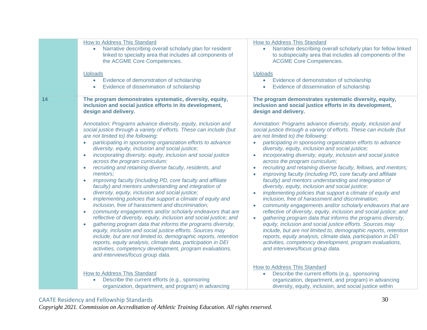|    | How to Address This Standard<br>Narrative describing overall scholarly plan for resident<br>$\bullet$<br>linked to specialty area that includes all components of<br>the ACGME Core Competencies.<br><b>Uploads</b><br>Evidence of demonstration of scholarship<br>$\bullet$<br>Evidence of dissemination of scholarship<br>$\bullet$                                                                                                                                                                                                                                                                                                                                                                                                                                                                                                                                                                                                                                                                                                                                                                                                                                                                                                                                                                                                                                                                                                                                        | How to Address This Standard<br>Narrative describing overall scholarly plan for fellow linked<br>$\bullet$<br>to subspecialty area that includes all components of the<br><b>ACGME Core Competencies.</b><br><b>Uploads</b><br>Evidence of demonstration of scholarship<br>$\bullet$<br>Evidence of dissemination of scholarship<br>$\bullet$                                                                                                                                                                                                                                                                                                                                                                                                                                                                                                                                                                                                                                                                                                                                                                                                                                                                                                                                                                                                                                                                                                                          |
|----|------------------------------------------------------------------------------------------------------------------------------------------------------------------------------------------------------------------------------------------------------------------------------------------------------------------------------------------------------------------------------------------------------------------------------------------------------------------------------------------------------------------------------------------------------------------------------------------------------------------------------------------------------------------------------------------------------------------------------------------------------------------------------------------------------------------------------------------------------------------------------------------------------------------------------------------------------------------------------------------------------------------------------------------------------------------------------------------------------------------------------------------------------------------------------------------------------------------------------------------------------------------------------------------------------------------------------------------------------------------------------------------------------------------------------------------------------------------------------|------------------------------------------------------------------------------------------------------------------------------------------------------------------------------------------------------------------------------------------------------------------------------------------------------------------------------------------------------------------------------------------------------------------------------------------------------------------------------------------------------------------------------------------------------------------------------------------------------------------------------------------------------------------------------------------------------------------------------------------------------------------------------------------------------------------------------------------------------------------------------------------------------------------------------------------------------------------------------------------------------------------------------------------------------------------------------------------------------------------------------------------------------------------------------------------------------------------------------------------------------------------------------------------------------------------------------------------------------------------------------------------------------------------------------------------------------------------------|
| 14 | The program demonstrates systematic, diversity, equity,<br>inclusion and social justice efforts in its development,<br>design and delivery.<br>Annotation: Programs advance diversity, equity, inclusion and<br>social justice through a variety of efforts. These can include (but<br>are not limited to) the following:<br>participating in sponsoring organization efforts to advance<br>diversity, equity, inclusion and social justice;<br>incorporating diversity, equity, inclusion and social justice<br>$\bullet$<br>across the program curriculum;<br>recruiting and retaining diverse faculty, residents, and<br>mentors;<br>improving faculty (including PD, core faculty and affiliate<br>faculty) and mentors understanding and integration of<br>diversity, equity, inclusion and social justice;<br>implementing policies that support a climate of equity and<br>$\bullet$<br>inclusion, free of harassment and discrimination;<br>community engagements and/or scholarly endeavors that are<br>$\bullet$<br>reflective of diversity, equity, inclusion and social justice; and<br>gathering program data that informs the programs diversity,<br>$\bullet$<br>equity, inclusion and social justice efforts. Sources may<br>include, but are not limited to, demographic reports, retention<br>reports, equity analysis, climate data, participation in DEI<br>activities, competency development, program evaluations,<br>and interviews/focus group data. | The program demonstrates systematic diversity, equity,<br>inclusion and social justice efforts in its development,<br>design and delivery.<br>Annotation: Programs advance diversity, equity, inclusion and<br>social justice through a variety of efforts. These can include (but<br>are not limited to) the following:<br>participating in sponsoring organization efforts to advance<br>diversity, equity, inclusion and social justice;<br>incorporating diversity, equity, inclusion and social justice<br>$\bullet$<br>across the program curriculum;<br>recruiting and retaining diverse faculty, fellows, and mentors;<br>improving faculty (including PD, core faculty and affiliate<br>faculty) and mentors understanding and integration of<br>diversity, equity, inclusion and social justice;<br>implementing policies that support a climate of equity and<br>inclusion, free of harassment and discrimination;<br>community engagements and/or scholarly endeavors that are<br>reflective of diversity, equity, inclusion and social justice; and<br>gathering program data that informs the programs diversity,<br>equity, inclusion and social justice efforts. Sources may<br>include, but are not limited to, demographic reports, retention<br>reports, equity analysis, climate data, participation in DEI<br>activities, competency development, program evaluations,<br>and interviews/focus group data.<br><b>How to Address This Standard</b> |
|    | <b>How to Address This Standard</b><br>Describe the current efforts (e.g., sponsoring<br>organization, department, and program) in advancing                                                                                                                                                                                                                                                                                                                                                                                                                                                                                                                                                                                                                                                                                                                                                                                                                                                                                                                                                                                                                                                                                                                                                                                                                                                                                                                                 | Describe the current efforts (e.g., sponsoring<br>$\bullet$<br>organization, department, and program) in advancing<br>diversity, equity, inclusion, and social justice within                                                                                                                                                                                                                                                                                                                                                                                                                                                                                                                                                                                                                                                                                                                                                                                                                                                                                                                                                                                                                                                                                                                                                                                                                                                                                          |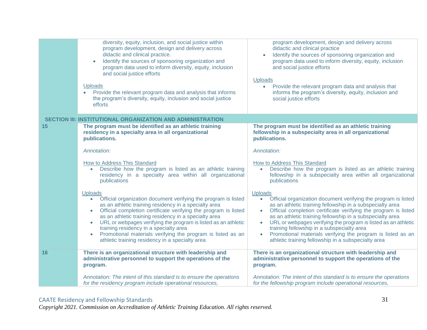|    | diversity, equity, inclusion, and social justice within<br>program development, design and delivery across<br>didactic and clinical practice.<br>Identify the sources of sponsoring organization and<br>program data used to inform diversity, equity, inclusion<br>and social justice efforts<br><b>Uploads</b><br>Provide the relevant program data and analysis that informs<br>the program's diversity, equity, inclusion and social justice<br>efforts                                                                                | program development, design and delivery across<br>didactic and clinical practice<br>Identify the sources of sponsoring organization and<br>$\bullet$<br>program data used to inform diversity, equity, inclusion<br>and social justice efforts<br><b>Uploads</b><br>Provide the relevant program data and analysis that<br>$\bullet$<br>informs the program's diversity, equity, inclusion and<br>social justice efforts                                                                                                                                  |
|----|--------------------------------------------------------------------------------------------------------------------------------------------------------------------------------------------------------------------------------------------------------------------------------------------------------------------------------------------------------------------------------------------------------------------------------------------------------------------------------------------------------------------------------------------|------------------------------------------------------------------------------------------------------------------------------------------------------------------------------------------------------------------------------------------------------------------------------------------------------------------------------------------------------------------------------------------------------------------------------------------------------------------------------------------------------------------------------------------------------------|
|    | SECTION III: INSTITUTIONAL ORGANIZATION AND ADMINISTRATION                                                                                                                                                                                                                                                                                                                                                                                                                                                                                 |                                                                                                                                                                                                                                                                                                                                                                                                                                                                                                                                                            |
| 15 | The program must be identified as an athletic training<br>residency in a specialty area in all organizational<br>publications.                                                                                                                                                                                                                                                                                                                                                                                                             | The program must be identified as an athletic training<br>fellowship in a subspecialty area in all organizational<br>publications.                                                                                                                                                                                                                                                                                                                                                                                                                         |
|    | Annotation:                                                                                                                                                                                                                                                                                                                                                                                                                                                                                                                                | Annotation:                                                                                                                                                                                                                                                                                                                                                                                                                                                                                                                                                |
|    | How to Address This Standard<br>Describe how the program is listed as an athletic training<br>$\bullet$<br>residency in a specialty area within all organizational<br>publications                                                                                                                                                                                                                                                                                                                                                         | How to Address This Standard<br>Describe how the program is listed as an athletic training<br>$\bullet$<br>fellowship in a subspecialty area within all organizational<br>publications                                                                                                                                                                                                                                                                                                                                                                     |
|    | <b>Uploads</b><br>Official organization document verifying the program is listed<br>$\bullet$<br>as an athletic training residency in a specialty area<br>Official completion certificate verifying the program is listed<br>as an athletic training residency in a specialty area<br>URL or webpages verifying the program is listed as an athletic<br>$\bullet$<br>training residency in a specialty area<br>Promotional materials verifying the program is listed as an<br>$\bullet$<br>athletic training residency in a specialty area | <b>Uploads</b><br>Official organization document verifying the program is listed<br>$\bullet$<br>as an athletic training fellowship in a subspecialty area<br>Official completion certificate verifying the program is listed<br>as an athletic training fellowship in a subspecialty area<br>URL or webpages verifying the program is listed as an athletic<br>$\bullet$<br>training fellowship in a subspecialty area<br>Promotional materials verifying the program is listed as an<br>$\bullet$<br>athletic training fellowship in a subspecialty area |
| 16 | There is an organizational structure with leadership and<br>administrative personnel to support the operations of the<br>program.                                                                                                                                                                                                                                                                                                                                                                                                          | There is an organizational structure with leadership and<br>administrative personnel to support the operations of the<br>program.                                                                                                                                                                                                                                                                                                                                                                                                                          |
|    | Annotation: The intent of this standard is to ensure the operations<br>for the residency program include operational resources,                                                                                                                                                                                                                                                                                                                                                                                                            | Annotation: The intent of this standard is to ensure the operations<br>for the fellowship program include operational resources,                                                                                                                                                                                                                                                                                                                                                                                                                           |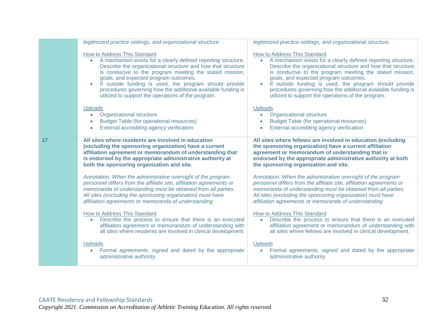|    | legitimized practice settings, and organizational structure.                                                                                                                                                                                                                                                                                                                                                                                                   | legitimized practice settings, and organizational structure.                                                                                                                                                                                                                                                                                                                                                                                                                |
|----|----------------------------------------------------------------------------------------------------------------------------------------------------------------------------------------------------------------------------------------------------------------------------------------------------------------------------------------------------------------------------------------------------------------------------------------------------------------|-----------------------------------------------------------------------------------------------------------------------------------------------------------------------------------------------------------------------------------------------------------------------------------------------------------------------------------------------------------------------------------------------------------------------------------------------------------------------------|
|    | How to Address This Standard<br>A mechanism exists for a clearly defined reporting structure.<br>$\bullet$<br>Describe the organizational structure and how that structure<br>is conducive to the program meeting the stated mission,<br>goals, and expected program outcomes.<br>If outside funding is used, the program should provide<br>procedures governing how the additional available funding is<br>utilized to support the operations of the program. | How to Address This Standard<br>A mechanism exists for a clearly defined reporting structure.<br>$\bullet$<br>Describe the organizational structure and how that structure<br>is conducive to the program meeting the stated mission,<br>goals, and expected program outcomes.<br>If outside funding is used, the program should provide<br>$\bullet$<br>procedures governing how the additional available funding is<br>utilized to support the operations of the program. |
|    | <b>Uploads</b><br>Organizational structure<br><b>Budget Table (for operational resources)</b><br>External accrediting agency verification                                                                                                                                                                                                                                                                                                                      | <b>Uploads</b><br>Organizational structure<br>$\bullet$<br><b>Budget Table (for operational resources)</b><br>$\bullet$<br>External accrediting agency verification<br>$\bullet$                                                                                                                                                                                                                                                                                            |
| 17 | All sites where residents are involved in education<br>(excluding the sponsoring organization) have a current<br>affiliation agreement or memorandum of understanding that<br>is endorsed by the appropriate administrative authority at<br>both the sponsoring organization and site.                                                                                                                                                                         | All sites where fellows are involved in education (excluding<br>the sponsoring organization) have a current affiliation<br>agreement or memorandum of understanding that is<br>endorsed by the appropriate administrative authority at both<br>the sponsoring organization and site.                                                                                                                                                                                        |
|    | Annotation: When the administrative oversight of the program<br>personnel differs from the affiliate site, affiliation agreements or<br>memoranda of understanding must be obtained from all parties.<br>All sites (excluding the sponsoring organization) must have<br>affiliation agreements or memoranda of understanding                                                                                                                                   | Annotation: When the administrative oversight of the program<br>personnel differs from the affiliate site, affiliation agreements or<br>memoranda of understanding must be obtained from all parties.<br>All sites (excluding the sponsoring organization) must have<br>affiliation agreements or memoranda of understanding                                                                                                                                                |
|    | How to Address This Standard<br>Describe the process to ensure that there is an executed<br>affiliation agreement or memorandum of understanding with<br>all sites where residents are involved in clinical development.                                                                                                                                                                                                                                       | How to Address This Standard<br>Describe the process to ensure that there is an executed<br>affiliation agreement or memorandum of understanding with<br>all sites where fellows are involved in clinical development.                                                                                                                                                                                                                                                      |
|    | <b>Uploads</b><br>Formal agreements, signed and dated by the appropriate<br>administrative authority                                                                                                                                                                                                                                                                                                                                                           | Uploads<br>Formal agreements, signed and dated by the appropriate<br>administrative authority                                                                                                                                                                                                                                                                                                                                                                               |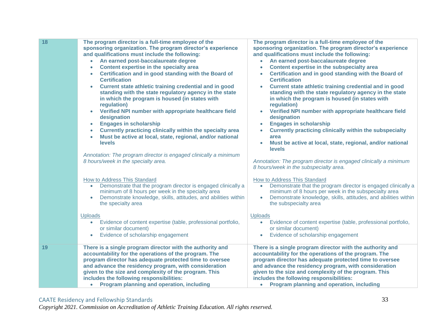| 18 | The program director is a full-time employee of the<br>sponsoring organization. The program director's experience<br>and qualifications must include the following:<br>An earned post-baccalaureate degree<br>Content expertise in the specialty area<br>Certification and in good standing with the Board of<br><b>Certification</b><br>Current state athletic training credential and in good<br>standing with the state regulatory agency in the state<br>in which the program is housed (in states with<br>regulation)<br>Verified NPI number with appropriate healthcare field<br>$\bullet$<br>designation<br><b>Engages in scholarship</b><br>$\bullet$<br>Currently practicing clinically within the specialty area<br>$\bullet$<br>Must be active at local, state, regional, and/or national<br>$\bullet$<br>levels<br>Annotation: The program director is engaged clinically a minimum<br>8 hours/week in the specialty area. | The program director is a full-time employee of the<br>sponsoring organization. The program director's experience<br>and qualifications must include the following:<br>An earned post-baccalaureate degree<br>Content expertise in the subspecialty area<br>Certification and in good standing with the Board of<br><b>Certification</b><br>Current state athletic training credential and in good<br>$\bullet$<br>standing with the state regulatory agency in the state<br>in which the program is housed (in states with<br>regulation)<br>Verified NPI number with appropriate healthcare field<br>$\bullet$<br>designation<br><b>Engages in scholarship</b><br>$\bullet$<br>Currently practicing clinically within the subspecialty<br>area<br>Must be active at local, state, regional, and/or national<br><b>levels</b><br>Annotation: The program director is engaged clinically a minimum<br>8 hours/week in the subspecialty area. |
|----|----------------------------------------------------------------------------------------------------------------------------------------------------------------------------------------------------------------------------------------------------------------------------------------------------------------------------------------------------------------------------------------------------------------------------------------------------------------------------------------------------------------------------------------------------------------------------------------------------------------------------------------------------------------------------------------------------------------------------------------------------------------------------------------------------------------------------------------------------------------------------------------------------------------------------------------|----------------------------------------------------------------------------------------------------------------------------------------------------------------------------------------------------------------------------------------------------------------------------------------------------------------------------------------------------------------------------------------------------------------------------------------------------------------------------------------------------------------------------------------------------------------------------------------------------------------------------------------------------------------------------------------------------------------------------------------------------------------------------------------------------------------------------------------------------------------------------------------------------------------------------------------------|
|    | How to Address This Standard<br>Demonstrate that the program director is engaged clinically a<br>$\bullet$<br>minimum of 8 hours per week in the specialty area<br>Demonstrate knowledge, skills, attitudes, and abilities within<br>the specialty area                                                                                                                                                                                                                                                                                                                                                                                                                                                                                                                                                                                                                                                                                | How to Address This Standard<br>Demonstrate that the program director is engaged clinically a<br>$\bullet$<br>minimum of 8 hours per week in the subspecialty area<br>Demonstrate knowledge, skills, attitudes, and abilities within<br>$\bullet$<br>the subspecialty area                                                                                                                                                                                                                                                                                                                                                                                                                                                                                                                                                                                                                                                                   |
|    | <b>Uploads</b><br>Evidence of content expertise (table, professional portfolio,<br>$\bullet$<br>or similar document)<br>Evidence of scholarship engagement                                                                                                                                                                                                                                                                                                                                                                                                                                                                                                                                                                                                                                                                                                                                                                             | <b>Uploads</b><br>Evidence of content expertise (table, professional portfolio,<br>$\bullet$<br>or similar document)<br>Evidence of scholarship engagement<br>$\bullet$                                                                                                                                                                                                                                                                                                                                                                                                                                                                                                                                                                                                                                                                                                                                                                      |
| 19 | There is a single program director with the authority and<br>accountability for the operations of the program. The<br>program director has adequate protected time to oversee<br>and advance the residency program, with consideration<br>given to the size and complexity of the program. This<br>includes the following responsibilities:<br><b>Program planning and operation, including</b><br>$\bullet$                                                                                                                                                                                                                                                                                                                                                                                                                                                                                                                           | There is a single program director with the authority and<br>accountability for the operations of the program. The<br>program director has adequate protected time to oversee<br>and advance the residency program, with consideration<br>given to the size and complexity of the program. This<br>includes the following responsibilities:<br>Program planning and operation, including<br>$\bullet$                                                                                                                                                                                                                                                                                                                                                                                                                                                                                                                                        |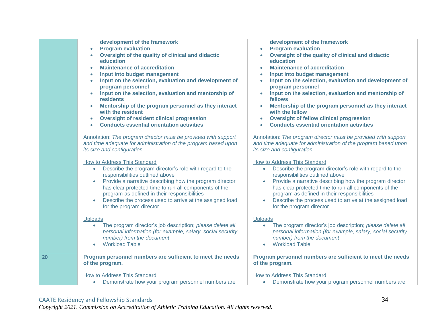|    | development of the framework<br><b>Program evaluation</b><br>$\bullet$<br>Oversight of the quality of clinical and didactic<br>education<br><b>Maintenance of accreditation</b><br>Input into budget management<br>Input on the selection, evaluation and development of<br>program personnel<br>Input on the selection, evaluation and mentorship of<br>residents<br>Mentorship of the program personnel as they interact<br>with the resident<br><b>Oversight of resident clinical progression</b><br>$\bullet$<br><b>Conducts essential orientation activities</b> | development of the framework<br><b>Program evaluation</b><br>$\bullet$<br>Oversight of the quality of clinical and didactic<br>$\bullet$<br>education<br><b>Maintenance of accreditation</b><br>۰<br>Input into budget management<br>$\bullet$<br>Input on the selection, evaluation and development of<br>$\bullet$<br>program personnel<br>Input on the selection, evaluation and mentorship of<br>$\bullet$<br>fellows<br>Mentorship of the program personnel as they interact<br>$\bullet$<br>with the fellow<br><b>Oversight of fellow clinical progression</b><br>$\bullet$<br><b>Conducts essential orientation activities</b> |
|----|-----------------------------------------------------------------------------------------------------------------------------------------------------------------------------------------------------------------------------------------------------------------------------------------------------------------------------------------------------------------------------------------------------------------------------------------------------------------------------------------------------------------------------------------------------------------------|---------------------------------------------------------------------------------------------------------------------------------------------------------------------------------------------------------------------------------------------------------------------------------------------------------------------------------------------------------------------------------------------------------------------------------------------------------------------------------------------------------------------------------------------------------------------------------------------------------------------------------------|
|    | Annotation: The program director must be provided with support<br>and time adequate for administration of the program based upon<br>its size and configuration.                                                                                                                                                                                                                                                                                                                                                                                                       | Annotation: The program director must be provided with support<br>and time adequate for administration of the program based upon<br>its size and configuration.                                                                                                                                                                                                                                                                                                                                                                                                                                                                       |
|    | <b>How to Address This Standard</b><br>Describe the program director's role with regard to the<br>$\bullet$<br>responsibilities outlined above<br>Provide a narrative describing how the program director<br>$\bullet$<br>has clear protected time to run all components of the<br>program as defined in their responsibilities<br>Describe the process used to arrive at the assigned load<br>$\bullet$<br>for the program director                                                                                                                                  | How to Address This Standard<br>Describe the program director's role with regard to the<br>responsibilities outlined above<br>Provide a narrative describing how the program director<br>has clear protected time to run all components of the<br>program as defined in their responsibilities<br>Describe the process used to arrive at the assigned load<br>for the program director                                                                                                                                                                                                                                                |
|    | <b>Uploads</b><br>The program director's job description; please delete all<br>$\bullet$<br>personal information (for example, salary, social security<br>number) from the document<br><b>Workload Table</b><br>$\bullet$                                                                                                                                                                                                                                                                                                                                             | <b>Uploads</b><br>The program director's job description; please delete all<br>$\bullet$<br>personal information (for example, salary, social security<br>number) from the document<br><b>Workload Table</b><br>$\bullet$                                                                                                                                                                                                                                                                                                                                                                                                             |
| 20 | Program personnel numbers are sufficient to meet the needs<br>of the program.<br>How to Address This Standard<br>Demonstrate how your program personnel numbers are<br>$\bullet$                                                                                                                                                                                                                                                                                                                                                                                      | Program personnel numbers are sufficient to meet the needs<br>of the program.<br>How to Address This Standard<br>Demonstrate how your program personnel numbers are                                                                                                                                                                                                                                                                                                                                                                                                                                                                   |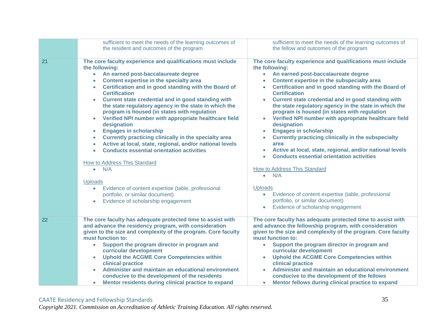|    | sufficient to meet the needs of the learning outcomes of<br>the resident and outcomes of the program                                                                                                                                                                                                                                                                                                                                                                                                                                                                                                                                                                                                                                                                                                                                                                                                                                                                                                                                    | sufficient to meet the needs of the learning outcomes of<br>the fellow and outcomes of the program                                                                                                                                                                                                                                                                                                                                                                                                                                                                                                                                                                                                                                                                                                                                                                                                                                                                                     |
|----|-----------------------------------------------------------------------------------------------------------------------------------------------------------------------------------------------------------------------------------------------------------------------------------------------------------------------------------------------------------------------------------------------------------------------------------------------------------------------------------------------------------------------------------------------------------------------------------------------------------------------------------------------------------------------------------------------------------------------------------------------------------------------------------------------------------------------------------------------------------------------------------------------------------------------------------------------------------------------------------------------------------------------------------------|----------------------------------------------------------------------------------------------------------------------------------------------------------------------------------------------------------------------------------------------------------------------------------------------------------------------------------------------------------------------------------------------------------------------------------------------------------------------------------------------------------------------------------------------------------------------------------------------------------------------------------------------------------------------------------------------------------------------------------------------------------------------------------------------------------------------------------------------------------------------------------------------------------------------------------------------------------------------------------------|
| 21 | The core faculty experience and qualifications must include<br>the following:<br>An earned post-baccalaureate degree<br>$\bullet$<br>Content expertise in the specialty area<br>$\bullet$<br>Certification and in good standing with the Board of<br>$\bullet$<br><b>Certification</b><br>Current state credential and in good standing with<br>the state regulatory agency in the state in which the<br>program is housed (in states with regulation<br>Verified NPI number with appropriate healthcare field<br>$\bullet$<br>designation<br><b>Engages in scholarship</b><br>$\bullet$<br>Currently practicing clinically in the specialty area<br>$\bullet$<br>Active at local, state, regional, and/or national levels<br>$\bullet$<br><b>Conducts essential orientation activities</b><br>$\bullet$<br>How to Address This Standard<br>N/A<br>$\bullet$<br><b>Uploads</b><br>Evidence of content expertise (table, professional<br>$\bullet$<br>portfolio, or similar document)<br>Evidence of scholarship engagement<br>$\bullet$ | The core faculty experience and qualifications must include<br>the following:<br>An earned post-baccalaureate degree<br>$\bullet$<br>Content expertise in the subspecialty area<br>Certification and in good standing with the Board of<br>$\bullet$<br><b>Certification</b><br>Current state credential and in good standing with<br>the state regulatory agency in the state in which the<br>program is housed (in states with regulation<br>Verified NPI number with appropriate healthcare field<br>$\bullet$<br>designation<br><b>Engages in scholarship</b><br><b>Currently practicing clinically in the subspecialty</b><br>area<br>Active at local, state, regional, and/or national levels<br><b>Conducts essential orientation activities</b><br>$\bullet$<br>How to Address This Standard<br>N/A<br>$\bullet$<br><b>Uploads</b><br>Evidence of content expertise (table, professional<br>$\bullet$<br>portfolio, or similar document)<br>Evidence of scholarship engagement |
| 22 | The core faculty has adequate protected time to assist with<br>and advance the residency program, with consideration<br>given to the size and complexity of the program. Core faculty<br>must function to:<br>Support the program director in program and<br>$\bullet$<br>curricular development<br><b>Uphold the ACGME Core Competencies within</b><br>clinical practice<br>Administer and maintain an educational environment<br>conducive to the development of the residents<br>Mentor residents during clinical practice to expand<br>$\bullet$                                                                                                                                                                                                                                                                                                                                                                                                                                                                                    | The core faculty has adequate protected time to assist with<br>and advance the fellowship program, with consideration<br>given to the size and complexity of the program. Core faculty<br>must function to:<br>Support the program director in program and<br>$\bullet$<br>curricular development<br><b>Uphold the ACGME Core Competencies within</b><br>clinical practice<br>Administer and maintain an educational environment<br>conducive to the development of the fellows<br>Mentor fellows during clinical practice to expand<br>$\bullet$                                                                                                                                                                                                                                                                                                                                                                                                                                      |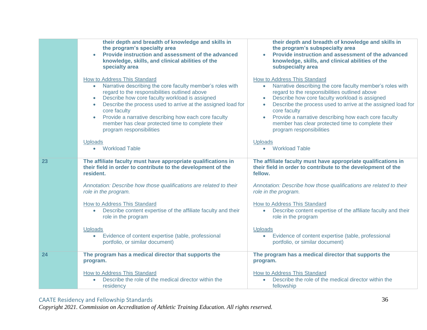|    | their depth and breadth of knowledge and skills in<br>the program's specialty area<br>Provide instruction and assessment of the advanced<br>knowledge, skills, and clinical abilities of the<br>specialty area<br>How to Address This Standard                                                                                                                                                                               | their depth and breadth of knowledge and skills in<br>the program's subspecialty area<br>Provide instruction and assessment of the advanced<br>knowledge, skills, and clinical abilities of the<br>subspecialty area<br>How to Address This Standard                                                                                                                                                            |
|----|------------------------------------------------------------------------------------------------------------------------------------------------------------------------------------------------------------------------------------------------------------------------------------------------------------------------------------------------------------------------------------------------------------------------------|-----------------------------------------------------------------------------------------------------------------------------------------------------------------------------------------------------------------------------------------------------------------------------------------------------------------------------------------------------------------------------------------------------------------|
|    | Narrative describing the core faculty member's roles with<br>$\bullet$<br>regard to the responsibilities outlined above<br>Describe how core faculty workload is assigned<br>$\bullet$<br>Describe the process used to arrive at the assigned load for<br>core faculty<br>Provide a narrative describing how each core faculty<br>$\bullet$<br>member has clear protected time to complete their<br>program responsibilities | Narrative describing the core faculty member's roles with<br>$\bullet$<br>regard to the responsibilities outlined above<br>Describe how core faculty workload is assigned<br>$\bullet$<br>Describe the process used to arrive at the assigned load for<br>core faculty<br>Provide a narrative describing how each core faculty<br>member has clear protected time to complete their<br>program responsibilities |
|    | <b>Uploads</b><br><b>Workload Table</b><br>$\bullet$                                                                                                                                                                                                                                                                                                                                                                         | <b>Uploads</b><br><b>Workload Table</b><br>$\bullet$                                                                                                                                                                                                                                                                                                                                                            |
| 23 | The affiliate faculty must have appropriate qualifications in<br>their field in order to contribute to the development of the<br>resident.                                                                                                                                                                                                                                                                                   | The affiliate faculty must have appropriate qualifications in<br>their field in order to contribute to the development of the<br>fellow.                                                                                                                                                                                                                                                                        |
|    | Annotation: Describe how those qualifications are related to their<br>role in the program.                                                                                                                                                                                                                                                                                                                                   | Annotation: Describe how those qualifications are related to their<br>role in the program.                                                                                                                                                                                                                                                                                                                      |
|    | How to Address This Standard<br>Describe content expertise of the affiliate faculty and their<br>$\bullet$<br>role in the program                                                                                                                                                                                                                                                                                            | <b>How to Address This Standard</b><br>Describe content expertise of the affiliate faculty and their<br>role in the program                                                                                                                                                                                                                                                                                     |
|    | <b>Uploads</b><br>Evidence of content expertise (table, professional<br>portfolio, or similar document)                                                                                                                                                                                                                                                                                                                      | Uploads<br>Evidence of content expertise (table, professional<br>$\bullet$<br>portfolio, or similar document)                                                                                                                                                                                                                                                                                                   |
| 24 | The program has a medical director that supports the<br>program.                                                                                                                                                                                                                                                                                                                                                             | The program has a medical director that supports the<br>program.                                                                                                                                                                                                                                                                                                                                                |
|    | How to Address This Standard<br>Describe the role of the medical director within the<br>$\bullet$<br>residency                                                                                                                                                                                                                                                                                                               | How to Address This Standard<br>Describe the role of the medical director within the<br>$\bullet$<br>fellowship                                                                                                                                                                                                                                                                                                 |
|    |                                                                                                                                                                                                                                                                                                                                                                                                                              |                                                                                                                                                                                                                                                                                                                                                                                                                 |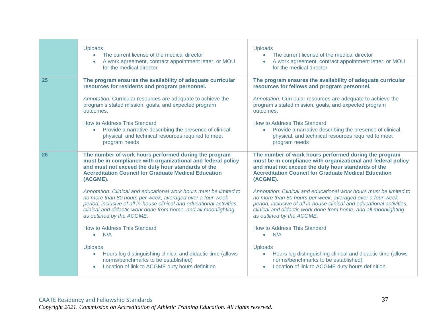|    | <b>Uploads</b><br>The current license of the medical director<br>A work agreement, contract appointment letter, or MOU<br>for the medical director                                                                                                                                                        | <b>Uploads</b><br>The current license of the medical director<br>A work agreement, contract appointment letter, or MOU<br>for the medical director                                                                                                                                                        |
|----|-----------------------------------------------------------------------------------------------------------------------------------------------------------------------------------------------------------------------------------------------------------------------------------------------------------|-----------------------------------------------------------------------------------------------------------------------------------------------------------------------------------------------------------------------------------------------------------------------------------------------------------|
| 25 | The program ensures the availability of adequate curricular<br>resources for residents and program personnel.                                                                                                                                                                                             | The program ensures the availability of adequate curricular<br>resources for fellows and program personnel.                                                                                                                                                                                               |
|    | Annotation: Curricular resources are adequate to achieve the<br>program's stated mission, goals, and expected program<br>outcomes.                                                                                                                                                                        | Annotation: Curricular resources are adequate to achieve the<br>program's stated mission, goals, and expected program<br>outcomes.                                                                                                                                                                        |
|    | How to Address This Standard<br>Provide a narrative describing the presence of clinical,<br>physical, and technical resources required to meet<br>program needs                                                                                                                                           | How to Address This Standard<br>Provide a narrative describing the presence of clinical,<br>physical, and technical resources required to meet<br>program needs                                                                                                                                           |
| 26 | The number of work hours performed during the program<br>must be in compliance with organizational and federal policy<br>and must not exceed the duty hour standards of the<br><b>Accreditation Council for Graduate Medical Education</b><br>(ACGME).                                                    | The number of work hours performed during the program<br>must be in compliance with organizational and federal policy<br>and must not exceed the duty hour standards of the<br><b>Accreditation Council for Graduate Medical Education</b><br>(ACGME).                                                    |
|    | Annotation: Clinical and educational work hours must be limited to<br>no more than 80 hours per week, averaged over a four-week<br>period, inclusive of all in-house clinical and educational activities,<br>clinical and didactic work done from home, and all moonlighting<br>as outlined by the ACGME. | Annotation: Clinical and educational work hours must be limited to<br>no more than 80 hours per week, averaged over a four-week<br>period, inclusive of all in-house clinical and educational activities,<br>clinical and didactic work done from home, and all moonlighting<br>as outlined by the ACGME. |
|    | How to Address This Standard<br>N/A                                                                                                                                                                                                                                                                       | How to Address This Standard<br>N/A<br>$\bullet$                                                                                                                                                                                                                                                          |
|    | <b>Uploads</b><br>Hours log distinguishing clinical and didactic time (allows<br>$\bullet$<br>norms/benchmarks to be established)<br>Location of link to ACGME duty hours definition                                                                                                                      | Uploads<br>Hours log distinguishing clinical and didactic time (allows<br>$\bullet$<br>norms/benchmarks to be established)<br>Location of link to ACGME duty hours definition                                                                                                                             |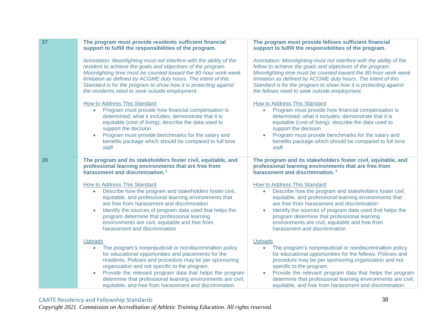| 27 | The program must provide residents sufficient financial<br>support to fulfill the responsibilities of the program.                                                                                                                                                                                                                                                                                                                                             | The program must provide fellows sufficient financial<br>support to fulfill the responsibilities of the program.                                                                                                                                                                                                                                                                                                                 |
|----|----------------------------------------------------------------------------------------------------------------------------------------------------------------------------------------------------------------------------------------------------------------------------------------------------------------------------------------------------------------------------------------------------------------------------------------------------------------|----------------------------------------------------------------------------------------------------------------------------------------------------------------------------------------------------------------------------------------------------------------------------------------------------------------------------------------------------------------------------------------------------------------------------------|
|    | Annotation: Moonlighting must not interfere with the ability of the<br>resident to achieve the goals and objectives of the program.<br>Moonlighting time must be counted toward the 80-hour work week<br>limitation as defined by ACGME duty hours. The intent of this<br>Standard is for the program to show how it is protecting against<br>the residents need to seek outside employment.                                                                   | Annotation: Moonlighting must not interfere with the ability of the<br>fellow to achieve the goals and objectives of the program.<br>Moonlighting time must be counted toward the 80-hour work week<br>limitation as defined by ACGME duty hours. The intent of this<br>Standard is for the program to show how it is protecting against<br>the fellows need to seek outside employment.                                         |
|    | How to Address This Standard<br>Program must provide how financial compensation is<br>$\bullet$<br>determined; what it includes; demonstrate that it is<br>equitable (cost of living); describe the data used to<br>support the decision<br>Program must provide benchmarks for the salary and<br>$\bullet$<br>benefits package which should be compared to full time<br>staff                                                                                 | <b>How to Address This Standard</b><br>Program must provide how financial compensation is<br>$\bullet$<br>determined; what it includes; demonstrate that it is<br>equitable (cost of living); describe the data used to<br>support the decision<br>Program must provide benchmarks for the salary and<br>benefits package which should be compared to full time<br>staff                                                         |
| 28 | The program and its stakeholders foster civil, equitable, and<br>professional learning environments that are free from<br>harassment and discrimination. <sup>1</sup>                                                                                                                                                                                                                                                                                          | The program and its stakeholders foster civil, equitable, and<br>professional learning environments that are free from<br>harassment and discrimination. <sup>1</sup>                                                                                                                                                                                                                                                            |
|    | How to Address This Standard<br>Describe how the program and stakeholders foster civil,<br>$\bullet$<br>equitable, and professional learning environments that<br>are free from harassment and discrimination<br>Identify the sources of program data used that helps the<br>$\bullet$<br>program determine that professional learning<br>environments are civil, equitable and free from<br>harassment and discrimination                                     | How to Address This Standard<br>Describe how the program and stakeholders foster civil,<br>equitable, and professional learning environments that<br>are free from harassment and discrimination<br>Identify the sources of program data used that helps the<br>program determine that professional learning<br>environments are civil, equitable and free from<br>harassment and discrimination                                 |
|    | <b>Uploads</b><br>The program's nonprejudicial or nondiscrimination policy<br>$\bullet$<br>for educational opportunities and placements for the<br>residents. Policies and procedure may be per sponsoring<br>organization and not specific to the program.<br>Provide the relevant program data that helps the program<br>$\bullet$<br>determine that professional learning environments are civil,<br>equitable, and free from harassment and discrimination | <b>Uploads</b><br>The program's nonprejudicial or nondiscrimination policy<br>$\bullet$<br>for educational opportunities for the fellows. Policies and<br>procedure may be per sponsoring organization and not<br>specific to the program.<br>Provide the relevant program data that helps the program<br>determine that professional learning environments are civil,<br>equitable, and free from harassment and discrimination |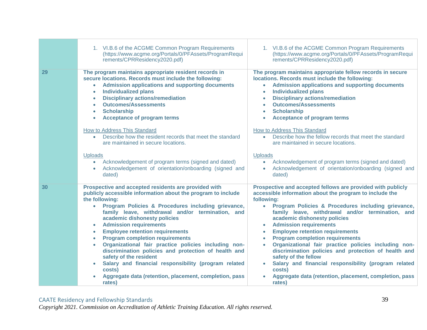|    | 1. VI.B.6 of the ACGME Common Program Requirements<br>(https://www.acgme.org/Portals/0/PFAssets/ProgramRequi<br>rements/CPRResidency2020.pdf)                                                                                                                                                                                                                                                                                                                                                                                                                                                                                                                                                      | 1. VI.B.6 of the ACGME Common Program Requirements<br>(https://www.acgme.org/Portals/0/PFAssets/ProgramRequi<br>rements/CPRResidency2020.pdf)                                                                                                                                                                                                                                                                                                                                                                                                                                                                                                                                                                                           |
|----|----------------------------------------------------------------------------------------------------------------------------------------------------------------------------------------------------------------------------------------------------------------------------------------------------------------------------------------------------------------------------------------------------------------------------------------------------------------------------------------------------------------------------------------------------------------------------------------------------------------------------------------------------------------------------------------------------|-----------------------------------------------------------------------------------------------------------------------------------------------------------------------------------------------------------------------------------------------------------------------------------------------------------------------------------------------------------------------------------------------------------------------------------------------------------------------------------------------------------------------------------------------------------------------------------------------------------------------------------------------------------------------------------------------------------------------------------------|
| 29 | The program maintains appropriate resident records in<br>secure locations. Records must include the following:<br><b>Admission applications and supporting documents</b><br>$\bullet$<br><b>Individualized plans</b><br>$\bullet$<br><b>Disciplinary actions/remediation</b><br>$\bullet$<br><b>Outcomes/Assessments</b><br><b>Scholarship</b><br>$\bullet$<br><b>Acceptance of program terms</b><br>$\bullet$                                                                                                                                                                                                                                                                                     | The program maintains appropriate fellow records in secure<br>locations. Records must include the following:<br><b>Admission applications and supporting documents</b><br>$\bullet$<br><b>Individualized plans</b><br>$\bullet$<br><b>Disciplinary actions/remediation</b><br><b>Outcomes/Assessments</b><br><b>Scholarship</b><br>$\bullet$<br><b>Acceptance of program terms</b><br>$\bullet$                                                                                                                                                                                                                                                                                                                                         |
|    | How to Address This Standard<br>Describe how the resident records that meet the standard<br>$\bullet$<br>are maintained in secure locations.                                                                                                                                                                                                                                                                                                                                                                                                                                                                                                                                                       | How to Address This Standard<br>• Describe how the fellow records that meet the standard<br>are maintained in secure locations.                                                                                                                                                                                                                                                                                                                                                                                                                                                                                                                                                                                                         |
|    | <b>Uploads</b><br>Acknowledgement of program terms (signed and dated)<br>$\bullet$<br>Acknowledgement of orientation/onboarding (signed and<br>dated)                                                                                                                                                                                                                                                                                                                                                                                                                                                                                                                                              | <b>Uploads</b><br>Acknowledgement of program terms (signed and dated)<br>$\bullet$<br>Acknowledgement of orientation/onboarding (signed and<br>dated)                                                                                                                                                                                                                                                                                                                                                                                                                                                                                                                                                                                   |
| 30 | Prospective and accepted residents are provided with<br>publicly accessible information about the program to include<br>the following:<br>Program Policies & Procedures including grievance,<br>family leave, withdrawal and/or termination, and<br>academic dishonesty policies<br><b>Admission requirements</b><br><b>Employee retention requirements</b><br><b>Program completion requirements</b><br>$\bullet$<br>Organizational fair practice policies including non-<br>discrimination policies and protection of health and<br>safety of the resident<br>Salary and financial responsibility (program related<br>costs)<br>Aggregate data (retention, placement, completion, pass<br>rates) | Prospective and accepted fellows are provided with publicly<br>accessible information about the program to include the<br>following:<br>• Program Policies & Procedures including grievance,<br>family leave, withdrawal and/or termination, and<br>academic dishonesty policies<br><b>Admission requirements</b><br>$\bullet$<br><b>Employee retention requirements</b><br>$\bullet$<br><b>Program completion requirements</b><br>$\bullet$<br>Organizational fair practice policies including non-<br>$\bullet$<br>discrimination policies and protection of health and<br>safety of the fellow<br>Salary and financial responsibility (program related<br>costs)<br>Aggregate data (retention, placement, completion, pass<br>rates) |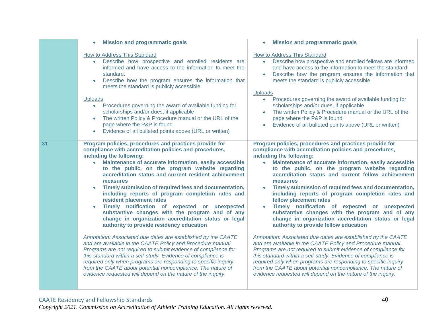|    | <b>Mission and programmatic goals</b>                                                                                                                                                                                                                                                                                                                                                                                                                                                                                                                                                                                                                                                         | <b>Mission and programmatic goals</b>                                                                                                                                                                                                                                                                                                                                                                                                                                                                                                                                                                                                                                                  |
|----|-----------------------------------------------------------------------------------------------------------------------------------------------------------------------------------------------------------------------------------------------------------------------------------------------------------------------------------------------------------------------------------------------------------------------------------------------------------------------------------------------------------------------------------------------------------------------------------------------------------------------------------------------------------------------------------------------|----------------------------------------------------------------------------------------------------------------------------------------------------------------------------------------------------------------------------------------------------------------------------------------------------------------------------------------------------------------------------------------------------------------------------------------------------------------------------------------------------------------------------------------------------------------------------------------------------------------------------------------------------------------------------------------|
|    | How to Address This Standard<br>Describe how prospective and enrolled residents are<br>informed and have access to the information to meet the<br>standard.<br>Describe how the program ensures the information that<br>$\bullet$<br>meets the standard is publicly accessible.                                                                                                                                                                                                                                                                                                                                                                                                               | How to Address This Standard<br>Describe how prospective and enrolled fellows are informed<br>$\bullet$<br>and have access to the information to meet the standard.<br>Describe how the program ensures the information that<br>meets the standard is publicly accessible.<br><b>Uploads</b>                                                                                                                                                                                                                                                                                                                                                                                           |
|    | <b>Uploads</b><br>Procedures governing the award of available funding for<br>$\bullet$<br>scholarships and/or dues, if applicable<br>The written Policy & Procedure manual or the URL of the<br>$\bullet$<br>page where the P&P is found<br>Evidence of all bulleted points above (URL or written)<br>$\bullet$                                                                                                                                                                                                                                                                                                                                                                               | • Procedures governing the award of available funding for<br>scholarships and/or dues, if applicable<br>The written Policy & Procedure manual or the URL of the<br>page where the P&P is found<br>Evidence of all bulleted points above (URL or written)                                                                                                                                                                                                                                                                                                                                                                                                                               |
| 31 | Program policies, procedures and practices provide for<br>compliance with accreditation policies and procedures,<br>including the following:<br>Maintenance of accurate information, easily accessible<br>$\bullet$<br>to the public, on the program website regarding<br>accreditation status and current resident achievement<br>measures<br>Timely submission of required fees and documentation,<br>including reports of program completion rates and<br>resident placement rates<br>Timely notification of expected or unexpected<br>substantive changes with the program and of any<br>change in organization accreditation status or legal<br>authority to provide residency education | Program policies, procedures and practices provide for<br>compliance with accreditation policies and procedures,<br>including the following:<br>Maintenance of accurate information, easily accessible<br>$\bullet$<br>to the public, on the program website regarding<br>accreditation status and current fellow achievement<br>measures<br>Timely submission of required fees and documentation,<br>including reports of program completion rates and<br>fellow placement rates<br>Timely notification of expected or unexpected<br>substantive changes with the program and of any<br>change in organization accreditation status or legal<br>authority to provide fellow education |
|    | Annotation: Associated due dates are established by the CAATE<br>and are available in the CAATE Policy and Procedure manual.<br>Programs are not required to submit evidence of compliance for<br>this standard within a self-study. Evidence of compliance is<br>required only when programs are responding to specific inquiry<br>from the CAATE about potential noncompliance. The nature of<br>evidence requested will depend on the nature of the inquiry.                                                                                                                                                                                                                               | Annotation: Associated due dates are established by the CAATE<br>and are available in the CAATE Policy and Procedure manual.<br>Programs are not required to submit evidence of compliance for<br>this standard within a self-study. Evidence of compliance is<br>required only when programs are responding to specific inquiry<br>from the CAATE about potential noncompliance. The nature of<br>evidence requested will depend on the nature of the inquiry.                                                                                                                                                                                                                        |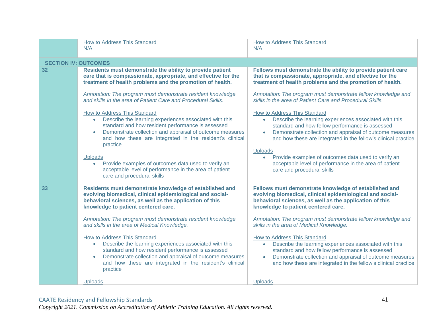|                             | How to Address This Standard<br>N/A                                                                                                                                                                                                                                            | <b>How to Address This Standard</b><br>N/A                                                                                                                                                                                                                                                                   |
|-----------------------------|--------------------------------------------------------------------------------------------------------------------------------------------------------------------------------------------------------------------------------------------------------------------------------|--------------------------------------------------------------------------------------------------------------------------------------------------------------------------------------------------------------------------------------------------------------------------------------------------------------|
| <b>SECTION IV: OUTCOMES</b> |                                                                                                                                                                                                                                                                                |                                                                                                                                                                                                                                                                                                              |
| 32                          | Residents must demonstrate the ability to provide patient<br>care that is compassionate, appropriate, and effective for the<br>treatment of health problems and the promotion of health.                                                                                       | Fellows must demonstrate the ability to provide patient care<br>that is compassionate, appropriate, and effective for the<br>treatment of health problems and the promotion of health.                                                                                                                       |
|                             | Annotation: The program must demonstrate resident knowledge<br>and skills in the area of Patient Care and Procedural Skills.                                                                                                                                                   | Annotation: The program must demonstrate fellow knowledge and<br>skills in the area of Patient Care and Procedural Skills.                                                                                                                                                                                   |
|                             | How to Address This Standard<br>Describe the learning experiences associated with this<br>standard and how resident performance is assessed<br>Demonstrate collection and appraisal of outcome measures<br>and how these are integrated in the resident's clinical<br>practice | How to Address This Standard<br>Describe the learning experiences associated with this<br>$\bullet$<br>standard and how fellow performance is assessed<br>Demonstrate collection and appraisal of outcome measures<br>$\bullet$<br>and how these are integrated in the fellow's clinical practice<br>Uploads |
|                             | <b>Uploads</b><br>Provide examples of outcomes data used to verify an<br>$\bullet$<br>acceptable level of performance in the area of patient<br>care and procedural skills                                                                                                     | Provide examples of outcomes data used to verify an<br>acceptable level of performance in the area of patient<br>care and procedural skills                                                                                                                                                                  |
| 33                          | Residents must demonstrate knowledge of established and<br>evolving biomedical, clinical epidemiological and social-<br>behavioral sciences, as well as the application of this<br>knowledge to patient centered care.                                                         | Fellows must demonstrate knowledge of established and<br>evolving biomedical, clinical epidemiological and social-<br>behavioral sciences, as well as the application of this<br>knowledge to patient centered care.                                                                                         |
|                             | Annotation: The program must demonstrate resident knowledge<br>and skills in the area of Medical Knowledge.                                                                                                                                                                    | Annotation: The program must demonstrate fellow knowledge and<br>skills in the area of Medical Knowledge.                                                                                                                                                                                                    |
|                             | How to Address This Standard<br>Describe the learning experiences associated with this<br>standard and how resident performance is assessed<br>Demonstrate collection and appraisal of outcome measures<br>and how these are integrated in the resident's clinical<br>practice | How to Address This Standard<br>Describe the learning experiences associated with this<br>standard and how fellow performance is assessed<br>Demonstrate collection and appraisal of outcome measures<br>and how these are integrated in the fellow's clinical practice                                      |
|                             | <b>Uploads</b>                                                                                                                                                                                                                                                                 | <b>Uploads</b>                                                                                                                                                                                                                                                                                               |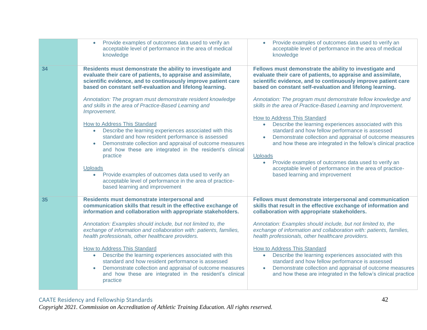| Provide examples of outcomes data used to verify an<br>acceptable level of performance in the area of medical<br>knowledge                                                                                                                                                                                                                                                                                                                                                                                                                                                                                                                                                | Provide examples of outcomes data used to verify an<br>acceptable level of performance in the area of medical<br>knowledge                                                                                                                                                                                                                                                                                                                                                                                                                                                                                                                                             |
|---------------------------------------------------------------------------------------------------------------------------------------------------------------------------------------------------------------------------------------------------------------------------------------------------------------------------------------------------------------------------------------------------------------------------------------------------------------------------------------------------------------------------------------------------------------------------------------------------------------------------------------------------------------------------|------------------------------------------------------------------------------------------------------------------------------------------------------------------------------------------------------------------------------------------------------------------------------------------------------------------------------------------------------------------------------------------------------------------------------------------------------------------------------------------------------------------------------------------------------------------------------------------------------------------------------------------------------------------------|
| Residents must demonstrate the ability to investigate and<br>evaluate their care of patients, to appraise and assimilate,<br>scientific evidence, and to continuously improve patient care<br>based on constant self-evaluation and lifelong learning.<br>Annotation: The program must demonstrate resident knowledge<br>and skills in the area of Practice-Based Learning and<br>Improvement.                                                                                                                                                                                                                                                                            | Fellows must demonstrate the ability to investigate and<br>evaluate their care of patients, to appraise and assimilate,<br>scientific evidence, and to continuously improve patient care<br>based on constant self-evaluation and lifelong learning.<br>Annotation: The program must demonstrate fellow knowledge and<br>skills in the area of Practice-Based Learning and Improvement.<br><b>How to Address This Standard</b><br>Describe the learning experiences associated with this                                                                                                                                                                               |
| Describe the learning experiences associated with this<br>$\bullet$<br>standard and how resident performance is assessed<br>Demonstrate collection and appraisal of outcome measures<br>and how these are integrated in the resident's clinical<br>practice<br><b>Uploads</b><br>Provide examples of outcomes data used to verify an<br>$\bullet$<br>acceptable level of performance in the area of practice-<br>based learning and improvement                                                                                                                                                                                                                           | $\bullet$<br>standard and how fellow performance is assessed<br>Demonstrate collection and appraisal of outcome measures<br>and how these are integrated in the fellow's clinical practice<br><b>Uploads</b><br>Provide examples of outcomes data used to verify an<br>$\bullet$<br>acceptable level of performance in the area of practice-<br>based learning and improvement                                                                                                                                                                                                                                                                                         |
| Residents must demonstrate interpersonal and<br>communication skills that result in the effective exchange of<br>information and collaboration with appropriate stakeholders.<br>Annotation: Examples should include, but not limited to, the<br>exchange of information and collaboration with: patients, families,<br>health professionals, other healthcare providers.<br>How to Address This Standard<br>Describe the learning experiences associated with this<br>$\bullet$<br>standard and how resident performance is assessed<br>Demonstrate collection and appraisal of outcome measures<br>$\bullet$<br>and how these are integrated in the resident's clinical | Fellows must demonstrate interpersonal and communication<br>skills that result in the effective exchange of information and<br>collaboration with appropriate stakeholders.<br>Annotation: Examples should include, but not limited to, the<br>exchange of information and collaboration with: patients, families,<br>health professionals, other healthcare providers.<br><b>How to Address This Standard</b><br>Describe the learning experiences associated with this<br>$\bullet$<br>standard and how fellow performance is assessed<br>Demonstrate collection and appraisal of outcome measures<br>and how these are integrated in the fellow's clinical practice |
|                                                                                                                                                                                                                                                                                                                                                                                                                                                                                                                                                                                                                                                                           | How to Address This Standard<br>practice                                                                                                                                                                                                                                                                                                                                                                                                                                                                                                                                                                                                                               |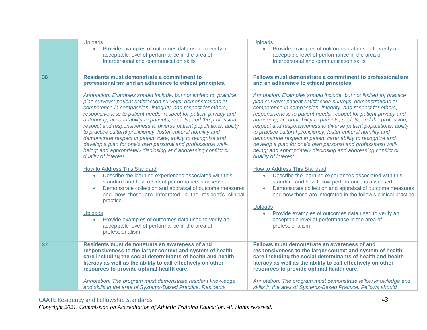|    | <b>Uploads</b><br>Provide examples of outcomes data used to verify an<br>$\bullet$<br>acceptable level of performance in the area of<br>Interpersonal and communication skills                                                                                                                                                                                                                                                                                                                                                                                                                                                                                                                                  | <b>Uploads</b><br>$\bullet$<br>Provide examples of outcomes data used to verify an<br>acceptable level of performance in the area of<br>Interpersonal and communication skills                                                                                                                                                                                                                                                                                                                                                                                                                                                                                                                                  |
|----|-----------------------------------------------------------------------------------------------------------------------------------------------------------------------------------------------------------------------------------------------------------------------------------------------------------------------------------------------------------------------------------------------------------------------------------------------------------------------------------------------------------------------------------------------------------------------------------------------------------------------------------------------------------------------------------------------------------------|-----------------------------------------------------------------------------------------------------------------------------------------------------------------------------------------------------------------------------------------------------------------------------------------------------------------------------------------------------------------------------------------------------------------------------------------------------------------------------------------------------------------------------------------------------------------------------------------------------------------------------------------------------------------------------------------------------------------|
| 36 | Residents must demonstrate a commitment to<br>professionalism and an adherence to ethical principles.                                                                                                                                                                                                                                                                                                                                                                                                                                                                                                                                                                                                           | Fellows must demonstrate a commitment to professionalism<br>and an adherence to ethical principles.                                                                                                                                                                                                                                                                                                                                                                                                                                                                                                                                                                                                             |
|    | Annotation: Examples should include, but not limited to, practice<br>plan surveys; patient satisfaction surveys; demonstrations of<br>competence in compassion, integrity, and respect for others;<br>responsiveness to patient needs; respect for patient privacy and<br>autonomy; accountability to patients, society, and the profession;<br>respect and responsiveness to diverse patient populations; ability<br>to practice cultural proficiency, foster cultural humility and<br>demonstrate respect in patient care; ability to recognize and<br>develop a plan for one's own personal and professional well-<br>being; and appropriately disclosing and addressing conflict or<br>duality of interest. | Annotation: Examples should include, but not limited to, practice<br>plan surveys; patient satisfaction surveys; demonstrations of<br>competence in compassion, integrity, and respect for others;<br>responsiveness to patient needs; respect for patient privacy and<br>autonomy; accountability to patients, society, and the profession;<br>respect and responsiveness to diverse patient populations; ability<br>to practice cultural proficiency, foster cultural humility and<br>demonstrate respect in patient care; ability to recognize and<br>develop a plan for one's own personal and professional well-<br>being; and appropriately disclosing and addressing conflict or<br>duality of interest. |
|    | <b>How to Address This Standard</b><br>Describe the learning experiences associated with this<br>standard and how resident performance is assessed<br>Demonstrate collection and appraisal of outcome measures<br>$\bullet$<br>and how these are integrated in the resident's clinical<br>practice                                                                                                                                                                                                                                                                                                                                                                                                              | <b>How to Address This Standard</b><br>Describe the learning experiences associated with this<br>$\bullet$<br>standard and how fellow performance is assessed<br>Demonstrate collection and appraisal of outcome measures<br>and how these are integrated in the fellow's clinical practice                                                                                                                                                                                                                                                                                                                                                                                                                     |
|    | Uploads<br>Provide examples of outcomes data used to verify an<br>$\bullet$<br>acceptable level of performance in the area of<br>professionalism                                                                                                                                                                                                                                                                                                                                                                                                                                                                                                                                                                | <b>Uploads</b><br>Provide examples of outcomes data used to verify an<br>acceptable level of performance in the area of<br>professionalism                                                                                                                                                                                                                                                                                                                                                                                                                                                                                                                                                                      |
| 37 | Residents must demonstrate an awareness of and<br>responsiveness to the larger context and system of health<br>care including the social determinants of health and health<br>literacy as well as the ability to call effectively on other<br>resources to provide optimal health care.                                                                                                                                                                                                                                                                                                                                                                                                                         | Fellows must demonstrate an awareness of and<br>responsiveness to the larger context and system of health<br>care including the social determinants of health and health<br>literacy as well as the ability to call effectively on other<br>resources to provide optimal health care.                                                                                                                                                                                                                                                                                                                                                                                                                           |
|    | Annotation: The program must demonstrate resident knowledge<br>and skills in the area of Systems-Based Practice. Residents                                                                                                                                                                                                                                                                                                                                                                                                                                                                                                                                                                                      | Annotation: The program must demonstrate fellow knowledge and<br>skills in the area of Systems-Based Practice. Fellows should                                                                                                                                                                                                                                                                                                                                                                                                                                                                                                                                                                                   |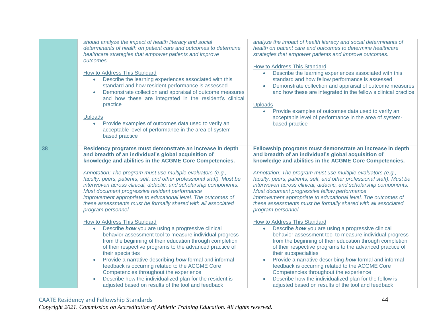|    | should analyze the impact of health literacy and social<br>determinants of health on patient care and outcomes to determine<br>healthcare strategies that empower patients and improve<br>outcomes.<br><b>How to Address This Standard</b><br>Describe the learning experiences associated with this<br>$\bullet$<br>standard and how resident performance is assessed<br>Demonstrate collection and appraisal of outcome measures<br>and how these are integrated in the resident's clinical<br>practice<br>Uploads<br>Provide examples of outcomes data used to verify an<br>$\bullet$<br>acceptable level of performance in the area of system-<br>based practice | analyze the impact of health literacy and social determinants of<br>health on patient care and outcomes to determine healthcare<br>strategies that empower patients and improve outcomes.<br><b>How to Address This Standard</b><br>Describe the learning experiences associated with this<br>$\bullet$<br>standard and how fellow performance is assessed<br>Demonstrate collection and appraisal of outcome measures<br>$\bullet$<br>and how these are integrated in the fellow's clinical practice<br>Uploads<br>Provide examples of outcomes data used to verify an<br>$\bullet$<br>acceptable level of performance in the area of system-<br>based practice |
|----|----------------------------------------------------------------------------------------------------------------------------------------------------------------------------------------------------------------------------------------------------------------------------------------------------------------------------------------------------------------------------------------------------------------------------------------------------------------------------------------------------------------------------------------------------------------------------------------------------------------------------------------------------------------------|------------------------------------------------------------------------------------------------------------------------------------------------------------------------------------------------------------------------------------------------------------------------------------------------------------------------------------------------------------------------------------------------------------------------------------------------------------------------------------------------------------------------------------------------------------------------------------------------------------------------------------------------------------------|
| 38 | Residency programs must demonstrate an increase in depth<br>and breadth of an individual's global acquisition of<br>knowledge and abilities in the ACGME Core Competencies.<br>Annotation: The program must use multiple evaluators (e.g.,<br>faculty, peers, patients, self, and other professional staff). Must be<br>interwoven across clinical, didactic, and scholarship components.<br>Must document progressive resident performance<br>improvement appropriate to educational level. The outcomes of<br>these assessments must be formally shared with all associated<br>program personnel.                                                                  | Fellowship programs must demonstrate an increase in depth<br>and breadth of an individual's global acquisition of<br>knowledge and abilities in the ACGME Core Competencies.<br>Annotation: The program must use multiple evaluators (e.g.,<br>faculty, peers, patients, self, and other professional staff). Must be<br>interwoven across clinical, didactic, and scholarship components.<br>Must document progressive fellow performance<br>improvement appropriate to educational level. The outcomes of<br>these assessments must be formally shared with all associated<br>program personnel.                                                               |
|    | How to Address This Standard<br>Describe how you are using a progressive clinical<br>behavior assessment tool to measure individual progress<br>from the beginning of their education through completion<br>of their respective programs to the advanced practice of<br>their specialties<br>Provide a narrative describing how formal and informal<br>$\bullet$<br>feedback is occurring related to the ACGME Core<br>Competencies throughout the experience<br>Describe how the individualized plan for the resident is<br>adjusted based on results of the tool and feedback                                                                                      | <b>How to Address This Standard</b><br>Describe how you are using a progressive clinical<br>$\bullet$<br>behavior assessment tool to measure individual progress<br>from the beginning of their education through completion<br>of their respective programs to the advanced practice of<br>their subspecialties<br>Provide a narrative describing how formal and informal<br>$\bullet$<br>feedback is occurring related to the ACGME Core<br>Competencies throughout the experience<br>Describe how the individualized plan for the fellow is<br>adjusted based on results of the tool and feedback                                                             |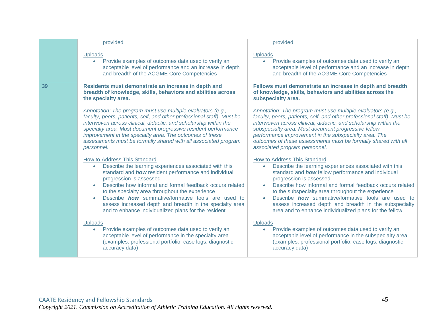|    | provided                                                                                                                                                                                                                                                                                                                                                                                                                                                                               | provided                                                                                                                                                                                                                                                                                                                                                                                                                                                                                 |
|----|----------------------------------------------------------------------------------------------------------------------------------------------------------------------------------------------------------------------------------------------------------------------------------------------------------------------------------------------------------------------------------------------------------------------------------------------------------------------------------------|------------------------------------------------------------------------------------------------------------------------------------------------------------------------------------------------------------------------------------------------------------------------------------------------------------------------------------------------------------------------------------------------------------------------------------------------------------------------------------------|
|    | <b>Uploads</b><br>Provide examples of outcomes data used to verify an<br>$\bullet$<br>acceptable level of performance and an increase in depth<br>and breadth of the ACGME Core Competencies                                                                                                                                                                                                                                                                                           | <b>Uploads</b><br>Provide examples of outcomes data used to verify an<br>acceptable level of performance and an increase in depth<br>and breadth of the ACGME Core Competencies                                                                                                                                                                                                                                                                                                          |
| 39 | Residents must demonstrate an increase in depth and<br>breadth of knowledge, skills, behaviors and abilities across<br>the specialty area.                                                                                                                                                                                                                                                                                                                                             | Fellows must demonstrate an increase in depth and breadth<br>of knowledge, skills, behaviors and abilities across the<br>subspecialty area.                                                                                                                                                                                                                                                                                                                                              |
|    | Annotation: The program must use multiple evaluators (e.g.,<br>faculty, peers, patients, self, and other professional staff). Must be<br>interwoven across clinical, didactic, and scholarship within the<br>specialty area. Must document progressive resident performance<br>improvement in the specialty area. The outcomes of these<br>assessments must be formally shared with all associated program<br>personnel.                                                               | Annotation: The program must use multiple evaluators (e.g.,<br>faculty, peers, patients, self, and other professional staff). Must be<br>interwoven across clinical, didactic, and scholarship within the<br>subspecialty area. Must document progressive fellow<br>performance improvement in the subspecialty area. The<br>outcomes of these assessments must be formally shared with all<br>associated program personnel.                                                             |
|    | How to Address This Standard<br>Describe the learning experiences associated with this<br>$\bullet$<br>standard and how resident performance and individual<br>progression is assessed<br>Describe how informal and formal feedback occurs related<br>to the specialty area throughout the experience<br>Describe <b>how</b> summative/formative tools are used to<br>assess increased depth and breadth in the specialty area<br>and to enhance individualized plans for the resident | How to Address This Standard<br>Describe the learning experiences associated with this<br>$\bullet$<br>standard and how fellow performance and individual<br>progression is assessed<br>Describe how informal and formal feedback occurs related<br>to the subspecialty area throughout the experience<br>Describe <b>how</b> summative/formative tools are used to<br>assess increased depth and breadth in the subspecialty<br>area and to enhance individualized plans for the fellow |
|    | <b>Uploads</b><br>Provide examples of outcomes data used to verify an<br>$\bullet$<br>acceptable level of performance in the specialty area<br>(examples: professional portfolio, case logs, diagnostic<br>accuracy data)                                                                                                                                                                                                                                                              | <b>Uploads</b><br>Provide examples of outcomes data used to verify an<br>$\bullet$<br>acceptable level of performance in the subspecialty area<br>(examples: professional portfolio, case logs, diagnostic<br>accuracy data)                                                                                                                                                                                                                                                             |